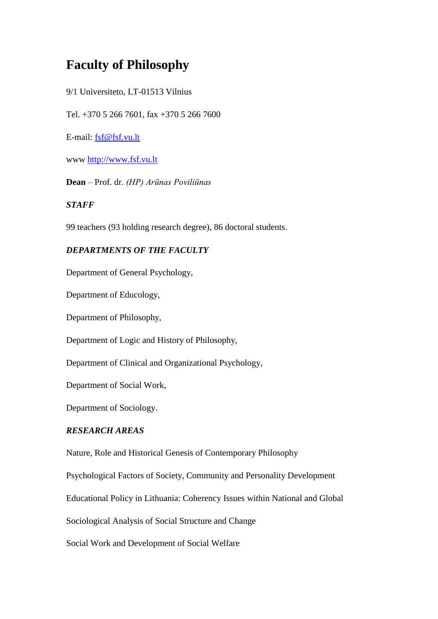# **Faculty of Philosophy**

9/1 Universiteto, LT-01513 Vilnius

Tel. +370 5 266 7601, fax +370 5 266 7600

E-mail: [fsf@fsf.vu.lt](mailto:fsf@fsf.vu.lt)

www [http://www.fsf.vu.lt](http://www.fsf.vu.lt/)

**Dean** – Prof. dr*. (HP) Arūnas Poviliūnas*

### *STAFF*

99 teachers (93 holding research degree), 86 doctoral students.

## *DEPARTMENTS OF THE FACULTY*

Department of General Psychology,

Department of Educology,

Department of Philosophy,

Department of Logic and History of Philosophy,

Department of Clinical and Organizational Psychology,

Department of Social Work,

Department of Sociology.

## *RESEARCH AREAS*

Nature, Role and Historical Genesis of Contemporary Philosophy

Psychological Factors of Society, Community and Personality Development

Educational Policy in Lithuania: Coherency Issues within National and Global

Sociological Analysis of Social Structure and Change

Social Work and Development of Social Welfare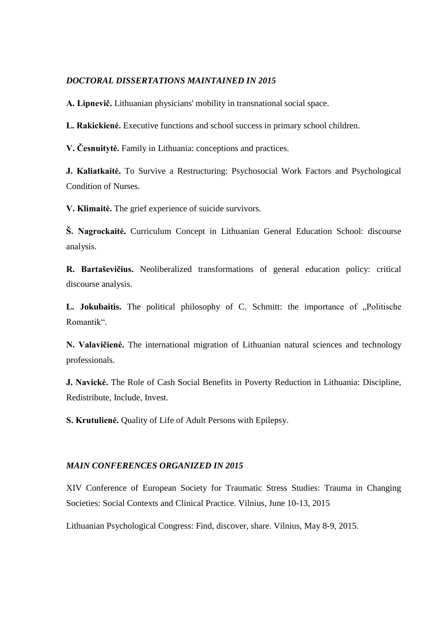#### *DOCTORAL DISSERTATIONS MAINTAINED IN 2015*

**A. Lipnevič.** Lithuanian physicians' mobility in transnational social space.

**L. Rakickienė.** Executive functions and school success in primary school children.

**V. Česnuitytė.** Family in Lithuania: conceptions and practices.

**J. Kaliatkaitė.** To Survive a Restructuring: Psychosocial Work Factors and Psychological Condition of Nurses.

**V. Klimaitė.** The grief experience of suicide survivors.

**Š. Nagrockaitė.** Curriculum Concept in Lithuanian General Education School: discourse analysis.

**R. Bartaševičius.** Neoliberalized transformations of general education policy: critical discourse analysis.

L. Jokubaitis. The political philosophy of C. Schmitt: the importance of "Politische Romantik".

**N. Valavičienė.** The international migration of Lithuanian natural sciences and technology professionals.

**J. Navickė.** The Role of Cash Social Benefits in Poverty Reduction in Lithuania: Discipline, Redistribute, Include, Invest.

**S. Krutulienė.** Quality of Life of Adult Persons with Epilepsy.

#### *MAIN CONFERENCES ORGANIZED IN 2015*

XIV Conference of European Society for Traumatic Stress Studies: Trauma in Changing Societies: Social Contexts and Clinical Practice. Vilnius, June 10-13, 2015

Lithuanian Psychological Congress: Find, discover, share. Vilnius, May 8-9, 2015.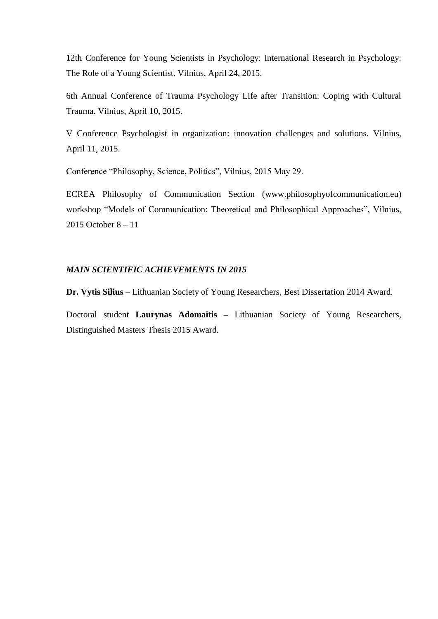12th Conference for Young Scientists in Psychology: International Research in Psychology: The Role of a Young Scientist. Vilnius, April 24, 2015.

6th Annual Conference of Trauma Psychology Life after Transition: Coping with Cultural Trauma. Vilnius, April 10, 2015.

V Conference Psychologist in organization: innovation challenges and solutions. Vilnius, April 11, 2015.

Conference "Philosophy, Science, Politics", Vilnius, 2015 May 29.

ECREA Philosophy of Communication Section [\(www.philosophyofcommunication.eu\)](http://www.philosophyofcommunication.eu/) workshop "Models of Communication: Theoretical and Philosophical Approaches", Vilnius, 2015 October 8 – 11

### *MAIN SCIENTIFIC ACHIEVEMENTS IN 2015*

**Dr. Vytis Silius** – Lithuanian Society of Young Researchers, Best Dissertation 2014 Award.

Doctoral student **Laurynas Adomaitis –** Lithuanian Society of Young Researchers, Distinguished Masters Thesis 2015 Award.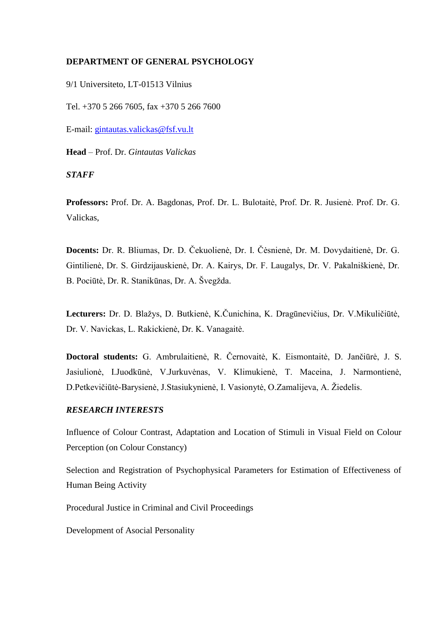#### **DEPARTMENT OF GENERAL PSYCHOLOGY**

9/1 Universiteto, LT-01513 Vilnius

Tel. +370 5 266 7605, fax +370 5 266 7600

E-mail: [gintautas.valickas@fsf.vu.lt](mailto:gintautas.valickas@fsf.vu.lt)

**Head** – Prof. Dr. *Gintautas Valickas*

*STAFF*

**Professors:** Prof. Dr. A. Bagdonas, Prof. Dr. L. Bulotaitė, Prof. Dr. R. Jusienė. Prof. Dr. G. Valickas,

**Docents:** Dr. R. Bliumas, Dr. D. Čekuolienė, Dr. I. Čėsnienė, Dr. M. Dovydaitienė, Dr. G. Gintilienė, Dr. S. Girdzijauskienė, Dr. A. Kairys, Dr. F. Laugalys, Dr. V. Pakalniškienė, Dr. B. Pociūtė, Dr. R. Stanikūnas, Dr. A. Švegžda.

**Lecturers:** Dr. D. Blažys, D. Butkienė, K.Čunichina, K. Dragūnevičius, Dr. V.Mikuličiūtė, Dr. V. Navickas, L. Rakickienė, Dr. K. Vanagaitė.

**Doctoral students:** G. Ambrulaitienė, R. Černovaitė, K. Eismontaitė, D. Jančiūrė, J. S. Jasiulionė, I.Juodkūnė, V.Jurkuvėnas, V. Klimukienė, T. Maceina, J. Narmontienė, D.Petkevičiūtė-Barysienė, J.Stasiukynienė, I. Vasionytė, O.Zamalijeva, A. Žiedelis.

#### *RESEARCH INTERESTS*

Influence of Colour Contrast, Adaptation and Location of Stimuli in Visual Field on Colour Perception (on Colour Constancy)

Selection and Registration of Psychophysical Parameters for Estimation of Effectiveness of Human Being Activity

Procedural Justice in Criminal and Civil Proceedings

Development of Asocial Personality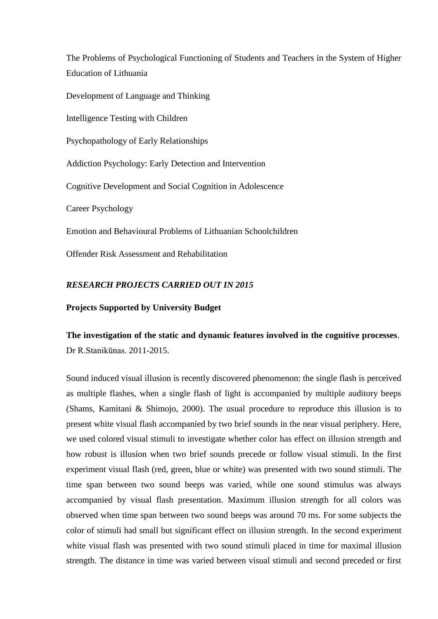The Problems of Psychological Functioning of Students and Teachers in the System of Higher Education of Lithuania

Development of Language and Thinking

Intelligence Testing with Children

Psychopathology of Early Relationships

Addiction Psychology: Early Detection and Intervention

Cognitive Development and Social Cognition in Adolescence

Career Psychology

Emotion and Behavioural Problems of Lithuanian Schoolchildren

Offender Risk Assessment and Rehabilitation

#### *RESEARCH PROJECTS CARRIED OUT IN 2015*

#### **Projects Supported by University Budget**

# **The investigation of the static and dynamic features involved in the cognitive processes**. Dr R.Stanikūnas. 2011-2015.

Sound induced visual illusion is recently discovered phenomenon: the single flash is perceived as multiple flashes, when a single flash of light is accompanied by multiple auditory beeps (Shams, Kamitani & Shimojo, 2000). The usual procedure to reproduce this illusion is to present white visual flash accompanied by two brief sounds in the near visual periphery. Here, we used colored visual stimuli to investigate whether color has effect on illusion strength and how robust is illusion when two brief sounds precede or follow visual stimuli. In the first experiment visual flash (red, green, blue or white) was presented with two sound stimuli. The time span between two sound beeps was varied, while one sound stimulus was always accompanied by visual flash presentation. Maximum illusion strength for all colors was observed when time span between two sound beeps was around 70 ms. For some subjects the color of stimuli had small but significant effect on illusion strength. In the second experiment white visual flash was presented with two sound stimuli placed in time for maximal illusion strength. The distance in time was varied between visual stimuli and second preceded or first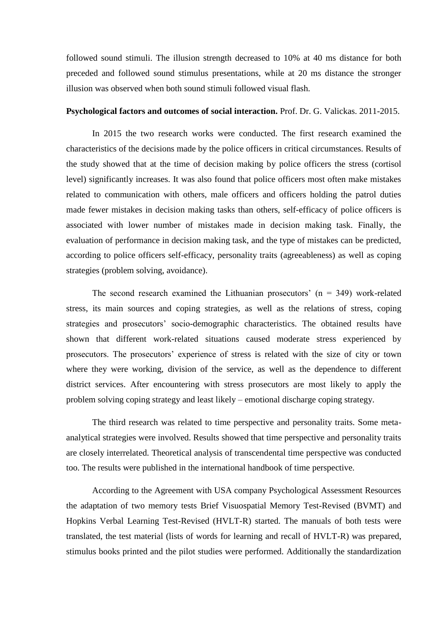followed sound stimuli. The illusion strength decreased to 10% at 40 ms distance for both preceded and followed sound stimulus presentations, while at 20 ms distance the stronger illusion was observed when both sound stimuli followed visual flash.

#### **Psychological factors and outcomes of social interaction.** Prof. Dr. G. Valickas. 2011-2015.

In 2015 the two research works were conducted. The first research examined the characteristics of the decisions made by the police officers in critical circumstances. Results of the study showed that at the time of decision making by police officers the stress (cortisol level) significantly increases. It was also found that police officers most often make mistakes related to communication with others, male officers and officers holding the patrol duties made fewer mistakes in decision making tasks than others, self-efficacy of police officers is associated with lower number of mistakes made in decision making task. Finally, the evaluation of performance in decision making task, and the type of mistakes can be predicted, according to police officers self-efficacy, personality traits (agreeableness) as well as coping strategies (problem solving, avoidance).

The second research examined the Lithuanian prosecutors'  $(n = 349)$  work-related stress, its main sources and coping strategies, as well as the relations of stress, coping strategies and prosecutors' socio-demographic characteristics. The obtained results have shown that different work-related situations caused moderate stress experienced by prosecutors. The prosecutors' experience of stress is related with the size of city or town where they were working, division of the service, as well as the dependence to different district services. After encountering with stress prosecutors are most likely to apply the problem solving coping strategy and least likely – emotional discharge coping strategy.

The third research was related to time perspective and personality traits. Some metaanalytical strategies were involved. Results showed that time perspective and personality traits are closely interrelated. Theoretical analysis of transcendental time perspective was conducted too. The results were published in the international handbook of time perspective.

According to the Agreement with USA company Psychological Assessment Resources the adaptation of two memory tests Brief Visuospatial Memory Test-Revised (BVMT) and Hopkins Verbal Learning Test-Revised (HVLT-R) started. The manuals of both tests were translated, the test material (lists of words for learning and recall of HVLT-R) was prepared, stimulus books printed and the pilot studies were performed. Additionally the standardization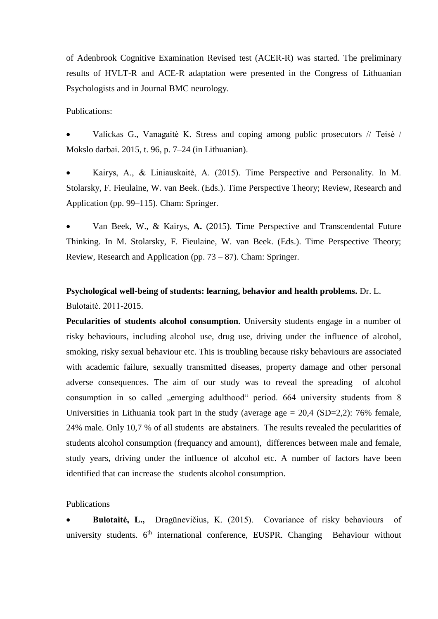of Adenbrook Cognitive Examination Revised test (ACER-R) was started. The preliminary results of HVLT-R and ACE-R adaptation were presented in the Congress of Lithuanian Psychologists and in Journal BMC neurology.

Publications:

 Valickas G., Vanagaitė K. Stress and coping among public prosecutors // Teisė / Mokslo darbai. 2015, t. 96, p. 7–24 (in Lithuanian).

 Kairys, A., & Liniauskaitė, A. (2015). Time Perspective and Personality. In M. Stolarsky, F. Fieulaine, W. van Beek. (Eds.). Time Perspective Theory; Review, Research and Application (pp. 99–115). Cham: Springer.

 Van Beek, W., & Kairys, **A.** (2015). Time Perspective and Transcendental Future Thinking. In M. Stolarsky, F. Fieulaine, W. van Beek. (Eds.). Time Perspective Theory; Review, Research and Application (pp. 73 – 87). Cham: Springer.

# **Psychological well-being of students: learning, behavior and health problems.** Dr. L. Bulotaitė. 2011-2015.

**Pecularities of students alcohol consumption.** University students engage in a number of risky behaviours, including alcohol use, drug use, driving under the influence of alcohol, smoking, risky sexual behaviour etc. This is troubling because risky behaviours are associated with academic failure, sexually transmitted diseases, property damage and other personal adverse consequences. The aim of our study was to reveal the spreading of alcohol consumption in so called "emerging adulthood" period. 664 university students from 8 Universities in Lithuania took part in the study (average age  $= 20.4$  (SD=2,2): 76% female, 24% male. Only 10,7 % of all students are abstainers. The results revealed the pecularities of students alcohol consumption (frequancy and amount), differences between male and female, study years, driving under the influence of alcohol etc. A number of factors have been identified that can increase the students alcohol consumption.

Publications

 **Bulotaitė, L.,** Dragūnevičius, K. (2015). Covariance of risky behaviours of university students.  $6<sup>th</sup>$  international conference, EUSPR. Changing Behaviour without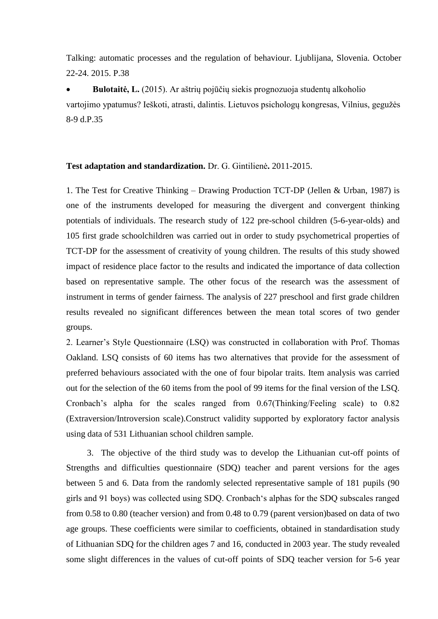Talking: automatic processes and the regulation of behaviour. Ljublijana, Slovenia. October 22-24. 2015. P.38

 **Bulotaitė, L.** (2015). Ar aštrių pojūčių siekis prognozuoja studentų alkoholio vartojimo ypatumus? Ieškoti, atrasti, dalintis. Lietuvos psichologų kongresas, Vilnius, gegužės 8-9 d.P.35

#### **Test adaptation and standardization.** Dr. G. Gintilienė**.** 2011-2015.

1. The Test for Creative Thinking – Drawing Production TCT-DP (Jellen & Urban, 1987) is one of the instruments developed for measuring the divergent and convergent thinking potentials of individuals. The research study of 122 pre-school children (5-6-year-olds) and 105 first grade schoolchildren was carried out in order to study psychometrical properties of TCT-DP for the assessment of creativity of young children. The results of this study showed impact of residence place factor to the results and indicated the importance of data collection based on representative sample. The other focus of the research was the assessment of instrument in terms of gender fairness. The analysis of 227 preschool and first grade children results revealed no significant differences between the mean total scores of two gender groups.

2. Learner's Style Questionnaire (LSQ) was constructed in collaboration with Prof. Thomas Oakland. LSQ consists of 60 items has two alternatives that provide for the assessment of preferred behaviours associated with the one of four bipolar traits. Item analysis was carried out for the selection of the 60 items from the pool of 99 items for the final version of the LSQ. Cronbach's alpha for the scales ranged from 0.67(Thinking/Feeling scale) to 0.82 (Extraversion/Introversion scale).Construct validity supported by exploratory factor analysis using data of 531 Lithuanian school children sample.

3. The objective of the third study was to develop the Lithuanian cut-off points of Strengths and difficulties questionnaire (SDQ) teacher and parent versions for the ages between 5 and 6. Data from the randomly selected representative sample of 181 pupils (90 girls and 91 boys) was collected using SDQ. Cronbach's alphas for the SDQ subscales ranged from 0.58 to 0.80 (teacher version) and from 0.48 to 0.79 (parent version)based on data of two age groups. These coefficients were similar to coefficients, obtained in standardisation study of Lithuanian SDQ for the children ages 7 and 16, conducted in 2003 year. The study revealed some slight differences in the values of cut-off points of SDQ teacher version for 5-6 year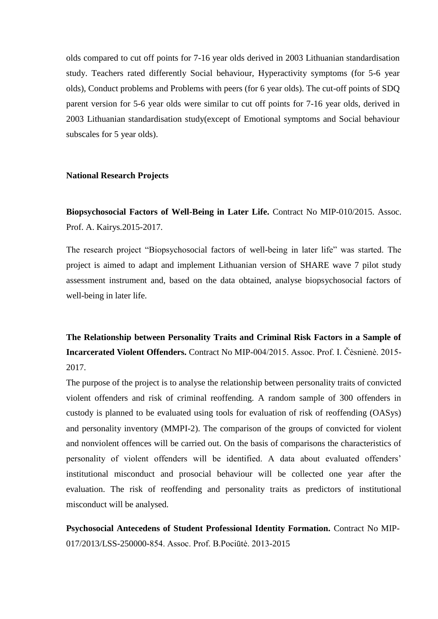olds compared to cut off points for 7-16 year olds derived in 2003 Lithuanian standardisation study. Teachers rated differently Social behaviour, Hyperactivity symptoms (for 5-6 year olds), Conduct problems and Problems with peers (for 6 year olds). The cut-off points of SDQ parent version for 5-6 year olds were similar to cut off points for 7-16 year olds, derived in 2003 Lithuanian standardisation study(except of Emotional symptoms and Social behaviour subscales for 5 year olds).

#### **National Research Projects**

**Biopsychosocial Factors of Well-Being in Later Life.** Contract No MIP-010/2015. Assoc. Prof. A. Kairys.2015-2017.

The research project "Biopsychosocial factors of well-being in later life" was started. The project is aimed to adapt and implement Lithuanian version of SHARE wave 7 pilot study assessment instrument and, based on the data obtained, analyse biopsychosocial factors of well-being in later life.

**The Relationship between Personality Traits and Criminal Risk Factors in a Sample of Incarcerated Violent Offenders.** Contract No MIP-004/2015. Assoc. Prof. I. Čėsnienė. 2015- 2017.

The purpose of the project is to analyse the relationship between personality traits of convicted violent offenders and risk of criminal reoffending. A random sample of 300 offenders in custody is planned to be evaluated using tools for evaluation of risk of reoffending (OASys) and personality inventory (MMPI-2). The comparison of the groups of convicted for violent and nonviolent offences will be carried out. On the basis of comparisons the characteristics of personality of violent offenders will be identified. A data about evaluated offenders' institutional misconduct and prosocial behaviour will be collected one year after the evaluation. The risk of reoffending and personality traits as predictors of institutional misconduct will be analysed.

**Psychosocial Antecedens of Student Professional Identity Formation.** Contract No MIP-017/2013/LSS-250000-854. Assoc. Prof. B.Pociūtė. 2013-2015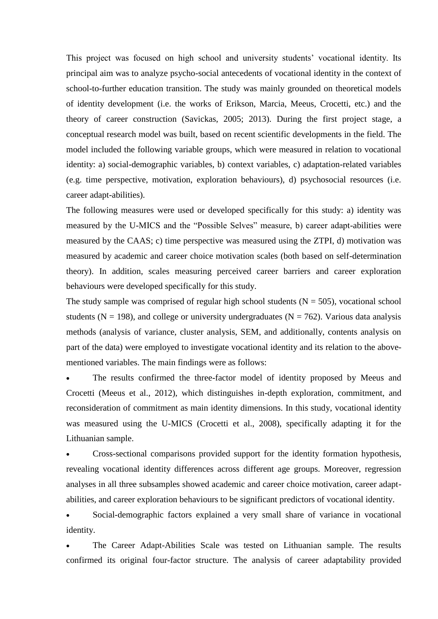This project was focused on high school and university students' vocational identity. Its principal aim was to analyze psycho-social antecedents of vocational identity in the context of school-to-further education transition. The study was mainly grounded on theoretical models of identity development (i.e. the works of Erikson, Marcia, Meeus, Crocetti, etc.) and the theory of career construction (Savickas, 2005; 2013). During the first project stage, a conceptual research model was built, based on recent scientific developments in the field. The model included the following variable groups, which were measured in relation to vocational identity: a) social-demographic variables, b) context variables, c) adaptation-related variables (e.g. time perspective, motivation, exploration behaviours), d) psychosocial resources (i.e. career adapt-abilities).

The following measures were used or developed specifically for this study: a) identity was measured by the U-MICS and the "Possible Selves" measure, b) career adapt-abilities were measured by the CAAS; c) time perspective was measured using the ZTPI, d) motivation was measured by academic and career choice motivation scales (both based on self-determination theory). In addition, scales measuring perceived career barriers and career exploration behaviours were developed specifically for this study.

The study sample was comprised of regular high school students  $(N = 505)$ , vocational school students ( $N = 198$ ), and college or university undergraduates ( $N = 762$ ). Various data analysis methods (analysis of variance, cluster analysis, SEM, and additionally, contents analysis on part of the data) were employed to investigate vocational identity and its relation to the abovementioned variables. The main findings were as follows:

 The results confirmed the three-factor model of identity proposed by Meeus and Crocetti (Meeus et al., 2012), which distinguishes in-depth exploration, commitment, and reconsideration of commitment as main identity dimensions. In this study, vocational identity was measured using the U-MICS (Crocetti et al., 2008), specifically adapting it for the Lithuanian sample.

 Cross-sectional comparisons provided support for the identity formation hypothesis, revealing vocational identity differences across different age groups. Moreover, regression analyses in all three subsamples showed academic and career choice motivation, career adaptabilities, and career exploration behaviours to be significant predictors of vocational identity.

 Social-demographic factors explained a very small share of variance in vocational identity.

 The Career Adapt-Abilities Scale was tested on Lithuanian sample. The results confirmed its original four-factor structure. The analysis of career adaptability provided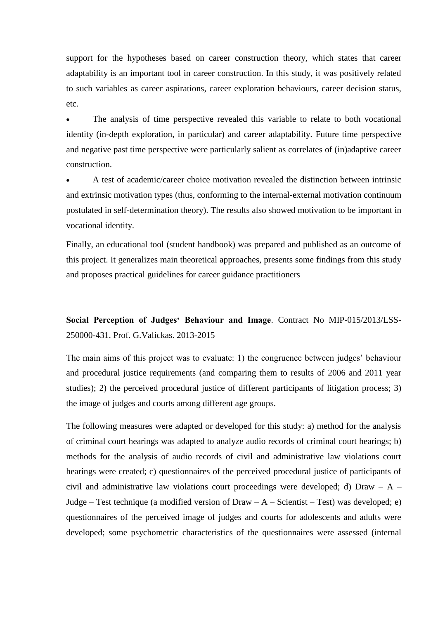support for the hypotheses based on career construction theory, which states that career adaptability is an important tool in career construction. In this study, it was positively related to such variables as career aspirations, career exploration behaviours, career decision status, etc.

 The analysis of time perspective revealed this variable to relate to both vocational identity (in-depth exploration, in particular) and career adaptability. Future time perspective and negative past time perspective were particularly salient as correlates of (in)adaptive career construction.

 A test of academic/career choice motivation revealed the distinction between intrinsic and extrinsic motivation types (thus, conforming to the internal-external motivation continuum postulated in self-determination theory). The results also showed motivation to be important in vocational identity.

Finally, an educational tool (student handbook) was prepared and published as an outcome of this project. It generalizes main theoretical approaches, presents some findings from this study and proposes practical guidelines for career guidance practitioners

**Social Perception of Judges' Behaviour and Image**. Contract No MIP-015/2013/LSS-250000-431. Prof. G.Valickas. 2013-2015

The main aims of this project was to evaluate: 1) the congruence between judges' behaviour and procedural justice requirements (and comparing them to results of 2006 and 2011 year studies); 2) the perceived procedural justice of different participants of litigation process; 3) the image of judges and courts among different age groups.

The following measures were adapted or developed for this study: a) method for the analysis of criminal court hearings was adapted to analyze audio records of criminal court hearings; b) methods for the analysis of audio records of civil and administrative law violations court hearings were created; c) questionnaires of the perceived procedural justice of participants of civil and administrative law violations court proceedings were developed; d) Draw  $- A -$ Judge – Test technique (a modified version of Draw –  $A$  – Scientist – Test) was developed; e) questionnaires of the perceived image of judges and courts for adolescents and adults were developed; some psychometric characteristics of the questionnaires were assessed (internal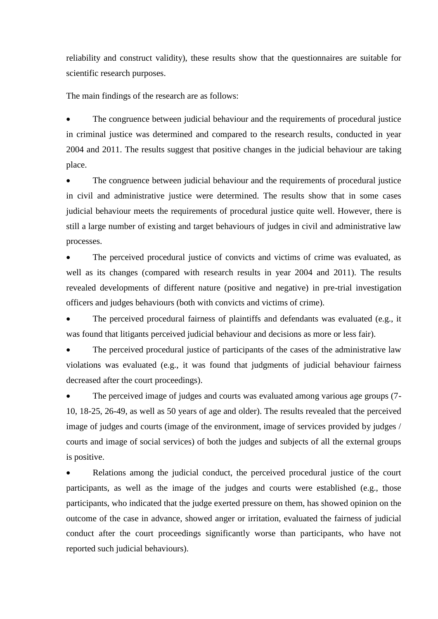reliability and construct validity), these results show that the questionnaires are suitable for scientific research purposes.

The main findings of the research are as follows:

 The congruence between judicial behaviour and the requirements of procedural justice in criminal justice was determined and compared to the research results, conducted in year 2004 and 2011. The results suggest that positive changes in the judicial behaviour are taking place.

 The congruence between judicial behaviour and the requirements of procedural justice in civil and administrative justice were determined. The results show that in some cases judicial behaviour meets the requirements of procedural justice quite well. However, there is still a large number of existing and target behaviours of judges in civil and administrative law processes.

 The perceived procedural justice of convicts and victims of crime was evaluated, as well as its changes (compared with research results in year 2004 and 2011). The results revealed developments of different nature (positive and negative) in pre-trial investigation officers and judges behaviours (both with convicts and victims of crime).

 The perceived procedural fairness of plaintiffs and defendants was evaluated (e.g., it was found that litigants perceived judicial behaviour and decisions as more or less fair).

 The perceived procedural justice of participants of the cases of the administrative law violations was evaluated (e.g., it was found that judgments of judicial behaviour fairness decreased after the court proceedings).

 The perceived image of judges and courts was evaluated among various age groups (7- 10, 18-25, 26-49, as well as 50 years of age and older). The results revealed that the perceived image of judges and courts (image of the environment, image of services provided by judges / courts and image of social services) of both the judges and subjects of all the external groups is positive.

 Relations among the judicial conduct, the perceived procedural justice of the court participants, as well as the image of the judges and courts were established (e.g., those participants, who indicated that the judge exerted pressure on them, has showed opinion on the outcome of the case in advance, showed anger or irritation, evaluated the fairness of judicial conduct after the court proceedings significantly worse than participants, who have not reported such judicial behaviours).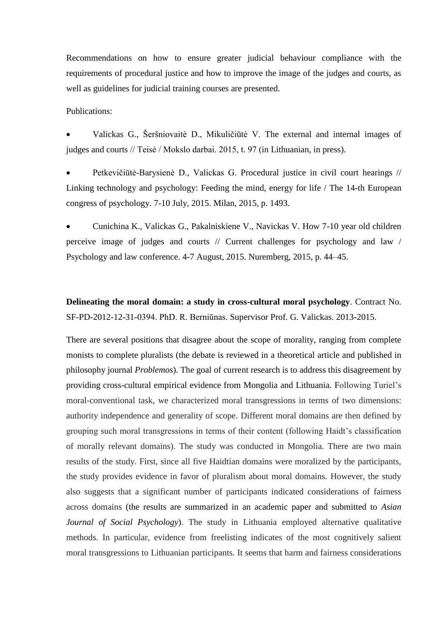Recommendations on how to ensure greater judicial behaviour compliance with the requirements of procedural justice and how to improve the image of the judges and courts, as well as guidelines for judicial training courses are presented.

#### Publications:

 Valickas G., Šeršniovaitė D., Mikuličiūtė V. The external and internal images of judges and courts // Teisė / Mokslo darbai. 2015, t. 97 (in Lithuanian, in press).

 Petkevičiūtė-Barysienė D., Valickas G. Procedural justice in civil court hearings // Linking technology and psychology: Feeding the mind, energy for life / The 14-th European congress of psychology. 7-10 July, 2015. Milan, 2015, p. 1493.

 Cunichina K., Valickas G., Pakalniskiene V., Navickas V. How 7-10 year old children perceive image of judges and courts // Current challenges for psychology and law / Psychology and law conference. 4-7 August, 2015. Nuremberg, 2015, p. 44–45.

**Delineating the moral domain: a study in cross-cultural moral psychology**. Contract No. SF-PD-2012-12-31-0394. PhD. R. Berniūnas. Supervisor Prof. G. Valickas. 2013-2015.

There are several positions that disagree about the scope of morality, ranging from complete monists to complete pluralists (the debate is reviewed in a theoretical article and published in philosophy journal *Problemos*). The goal of current research is to address this disagreement by providing cross-cultural empirical evidence from Mongolia and Lithuania. Following Turiel's moral-conventional task, we characterized moral transgressions in terms of two dimensions: authority independence and generality of scope. Different moral domains are then defined by grouping such moral transgressions in terms of their content (following Haidt's classification of morally relevant domains). The study was conducted in Mongolia. There are two main results of the study. First, since all five Haidtian domains were moralized by the participants, the study provides evidence in favor of pluralism about moral domains. However, the study also suggests that a significant number of participants indicated considerations of fairness across domains (the results are summarized in an academic paper and submitted to *Asian Journal of Social Psychology*). The study in Lithuania employed alternative qualitative methods. In particular, evidence from freelisting indicates of the most cognitively salient moral transgressions to Lithuanian participants. It seems that harm and fairness considerations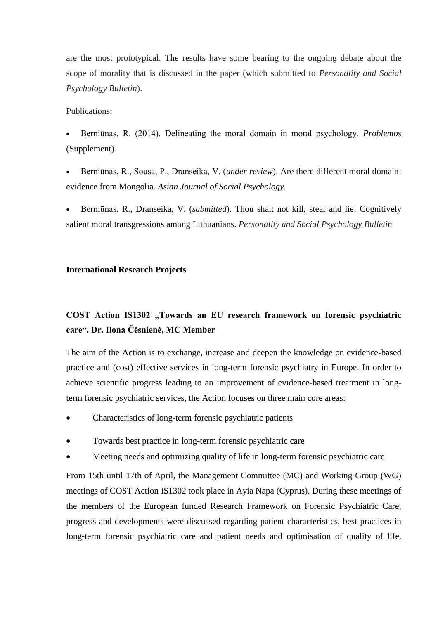are the most prototypical. The results have some bearing to the ongoing debate about the scope of morality that is discussed in the paper (which submitted to *Personality and Social Psychology Bulletin*).

#### Publications:

 Berniūnas, R. (2014). Delineating the moral domain in moral psychology. *Problemos* (Supplement).

- Berniūnas, R., Sousa, P., Dranseika, V. (*under review*). Are there different moral domain: evidence from Mongolia. *Asian Journal of Social Psychology.*
- Berniūnas, R., Dranseika, V. (*submitted*). Thou shalt not kill, steal and lie: Cognitively salient moral transgressions among Lithuanians. *Personality and Social Psychology Bulletin*

#### **International Research Projects**

# COST Action IS1302 "Towards an EU research framework on forensic psychiatric **care". Dr. Ilona Čėsnienė, MC Member**

The aim of the Action is to exchange, increase and deepen the knowledge on evidence-based practice and (cost) effective services in long-term forensic psychiatry in Europe. In order to achieve scientific progress leading to an improvement of evidence-based treatment in longterm forensic psychiatric services, the Action focuses on three main core areas:

- Characteristics of long-term forensic psychiatric patients
- Towards best practice in long-term forensic psychiatric care
- Meeting needs and optimizing quality of life in long-term forensic psychiatric care

From 15th until 17th of April, the Management Committee (MC) and Working Group (WG) meetings of COST Action IS1302 took place in Ayia Napa (Cyprus). During these meetings of the members of the European funded Research Framework on Forensic Psychiatric Care, progress and developments were discussed regarding patient characteristics, best practices in long-term forensic psychiatric care and patient needs and optimisation of quality of life.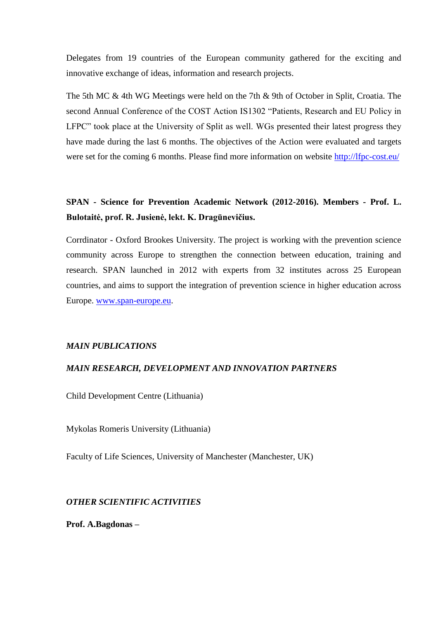Delegates from 19 countries of the European community gathered for the exciting and innovative exchange of ideas, information and research projects.

The 5th MC & 4th WG Meetings were held on the 7th & 9th of October in Split, Croatia. The second Annual Conference of the COST Action IS1302 "Patients, Research and EU Policy in LFPC" took place at the University of Split as well. WGs presented their latest progress they have made during the last 6 months. The objectives of the Action were evaluated and targets were set for the coming 6 months. Please find more information on website<http://lfpc-cost.eu/>

# **SPAN - Science for Prevention Academic Network (2012-2016). Members - Prof. L. Bulotaitė, prof. R. Jusienė, lekt. K. Dragūnevičius.**

Corrdinator - Oxford Brookes University. The project is working with the prevention science community across Europe to strengthen the connection between education, training and research. SPAN launched in 2012 with experts from 32 institutes across 25 European countries, and aims to support the integration of prevention science in higher education across Europe. [www.span-europe.eu.](http://www.span-europe.eu/)

#### *MAIN PUBLICATIONS*

## *MAIN RESEARCH, DEVELOPMENT AND INNOVATION PARTNERS*

Child Development Centre (Lithuania)

Mykolas Romeris University (Lithuania)

Faculty of Life Sciences, University of Manchester (Manchester, UK)

*OTHER SCIENTIFIC ACTIVITIES*

**Prof. A.Bagdonas –**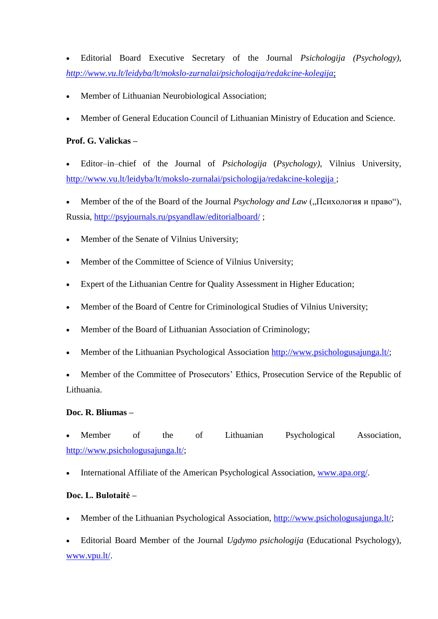Editorial Board Executive Secretary of the Journal *Psichologija (Psychology), <http://www.vu.lt/leidyba/lt/mokslo-zurnalai/psichologija/redakcine-kolegija>*;

- Member of Lithuanian Neurobiological Association;
- Member of General Education Council of Lithuanian Ministry of Education and Science.

## **Prof. G. Valickas –**

 Editor–in–chief of the Journal of *Psichologija* (*Psychology)*, Vilnius University, <http://www.vu.lt/leidyba/lt/mokslo-zurnalai/psichologija/redakcine-kolegija> ;

Member of the of the Board of the Journal *Psychology and Law* ("Психология и право"), Russia, <http://psyjournals.ru/psyandlaw/editorialboard/> ;

- Member of the Senate of Vilnius University;
- Member of the Committee of Science of Vilnius University;
- Expert of the Lithuanian Centre for Quality Assessment in Higher Education;
- Member of the Board of Centre for Criminological Studies of Vilnius University;
- Member of the Board of Lithuanian Association of Criminology;
- Member of the Lithuanian Psychological Association [http://www.psichologusajunga.lt/;](http://www.psichologusajunga.lt/)

 Member of the Committee of Prosecutors' Ethics, Prosecution Service of the Republic of Lithuania.

## **Doc. R. Bliumas –**

 Member of the of Lithuanian Psychological Association, [http://www.psichologusajunga.lt/;](http://www.psichologusajunga.lt/)

International Affiliate of the American Psychological Association, [www.apa.org/.](http://www.apa.org/)

## **Doc. L. Bulotaitė –**

- Member of the Lithuanian Psychological Association, [http://www.psichologusajunga.lt/;](http://www.psichologusajunga.lt/)
- Editorial Board Member of the Journal *Ugdymo psichologija* (Educational Psychology), [www.vpu.lt/.](http://www.vpu.lt/)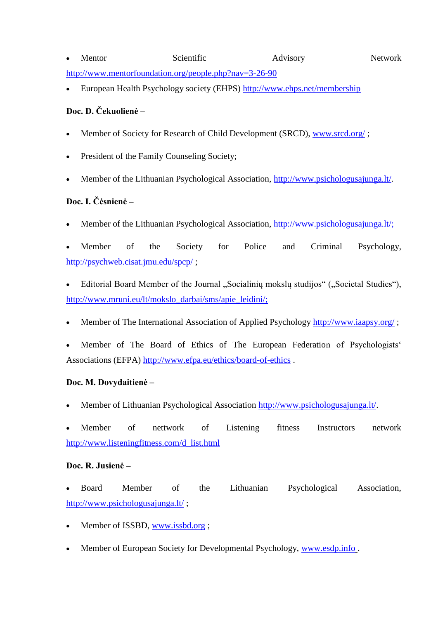- Mentor Scientific Advisory Network <http://www.mentorfoundation.org/people.php?nav=3-26-90>
- European Health Psychology society (EHPS)<http://www.ehps.net/membership>

# **Doc. D. Čekuolienė –**

- Member of Society for Research of Child Development (SRCD), [www.srcd.org/](http://www.srcd.org/) ;
- President of the Family Counseling Society;
- Member of the Lithuanian Psychological Association, [http://www.psichologusajunga.lt/.](http://www.psichologusajunga.lt/)

# **Doc. I. Čėsnienė –**

Member of the Lithuanian Psychological Association, [http://www.psichologusajunga.lt/;](http://www.psichologusajunga.lt/)

 Member of the Society for Police and Criminal Psychology, <http://psychweb.cisat.jmu.edu/spcp/> ;

- Editorial Board Member of the Journal "Socialinių mokslų studijos" ("Societal Studies"), [http://www.mruni.eu/lt/mokslo\\_darbai/sms/apie\\_leidini/;](http://www.mruni.eu/lt/mokslo_darbai/sms/apie_leidini/)
- Member of The International Association of Applied Psychology<http://www.iaapsy.org/> ;
- Member of The Board of Ethics of The European Federation of Psychologists' Associations (EFPA)<http://www.efpa.eu/ethics/board-of-ethics> .

# **Doc. M. Dovydaitienė –**

Member of Lithuanian Psychological Association [http://www.psichologusajunga.lt/.](http://www.psichologusajunga.lt/)

 Member of nettwork of Listening fitness Instructors network [http://www.listeningfitness.com/d\\_list.html](http://www.listeningfitness.com/d_list.html)

# **Doc. R. Jusienė –**

 Board Member of the Lithuanian Psychological Association, <http://www.psichologusajunga.lt/> ;

- Member of ISSBD, [www.issbd.org](http://www.issbd.org/) ;
- Member of European Society for Developmental Psychology, [www.esdp.info](http://www.esdp.info/) .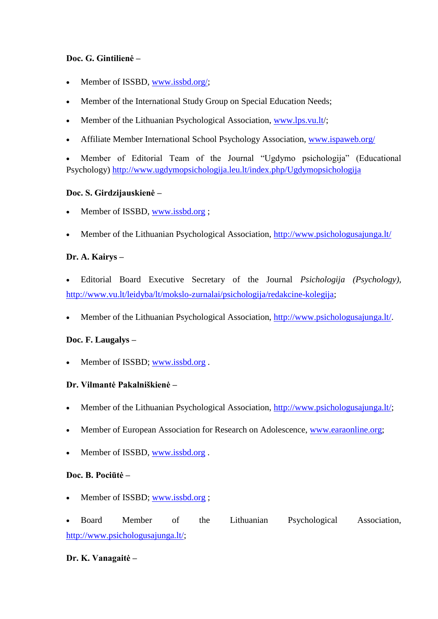## **Doc. G. Gintilienė –**

- Member of ISSBD, [www.issbd.org/;](http://www.issbd.org/)
- Member of the International Study Group on Special Education Needs;
- Member of the Lithuanian Psychological Association, [www.lps.vu.lt/](http://www.lps.vu.lt/);
- Affiliate Member International School Psychology Association, [www.ispaweb.org/](http://www.ispaweb.org/)

 Member of Editorial Team of the Journal "Ugdymo psichologija" (Educational Psychology)<http://www.ugdymopsichologija.leu.lt/index.php/Ugdymopsichologija>

## **Doc. S. Girdzijauskienė –**

- Member of ISSBD, [www.issbd.org](http://www.issbd.org/);
- Member of the Lithuanian Psychological Association,<http://www.psichologusajunga.lt/>

## **Dr. A. Kairys –**

- Editorial Board Executive Secretary of the Journal *Psichologija (Psychology),*  [http://www.vu.lt/leidyba/lt/mokslo-zurnalai/psichologija/redakcine-kolegija;](http://www.vu.lt/leidyba/lt/mokslo-zurnalai/psichologija/redakcine-kolegija)
- Member of the Lithuanian Psychological Association, [http://www.psichologusajunga.lt/.](http://www.psichologusajunga.lt/)

## **Doc. F. Laugalys –**

Member of ISSBD; [www.issbd.org](http://www.issbd.org/) .

#### **Dr. Vilmantė Pakalniškienė –**

- Member of the Lithuanian Psychological Association, [http://www.psichologusajunga.lt/;](http://www.psichologusajunga.lt/)
- Member of European Association for Research on Adolescence, [www.earaonline.org;](http://www.earaonline.org/)
- Member of ISSBD, [www.issbd.org](http://www.issbd.org/).

#### **Doc. B. Pociūtė –**

Member of ISSBD; [www.issbd.org](http://www.issbd.org/) ;

| $\bullet$ | <b>Board</b> | Member                            | the | Lithuanian | Psychological | Association, |
|-----------|--------------|-----------------------------------|-----|------------|---------------|--------------|
|           |              | http://www.psichologusajunga.lt/; |     |            |               |              |

## **Dr. K. Vanagaitė –**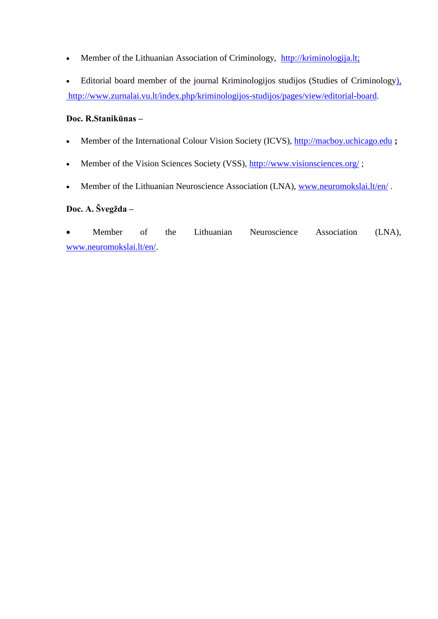• Member of the Lithuanian Association of Criminology, [http://kriminologija.lt;](http://)

• Editorial board member of the journal Kriminologijos studijos (Studies of Criminology), [http://www.zurnalai.vu.lt/index.php/kriminologijos-studijos/pages/view/editorial-board.](http://www.zurnalai.vu.lt/index.php/kriminologijos-studijos/pages/view/editorial-board)

## **Doc. R.Stanikūnas –**

- Member of the International Colour Vision Society (ICVS), [http://macboy.uchicago.edu](http://macboy.uchicago.edu/) **;**
- Member of the Vision Sciences Society (VSS),<http://www.visionsciences.org/>;
- Member of the Lithuanian Neuroscience Association (LNA), [www.neuromokslai.lt/en/](http://www.neuromokslai.lt/en/).

# **Doc. A. Švegžda –**

 Member of the Lithuanian Neuroscience Association (LNA), [www.neuromokslai.lt/en/.](http://www.neuromokslai.lt/en/)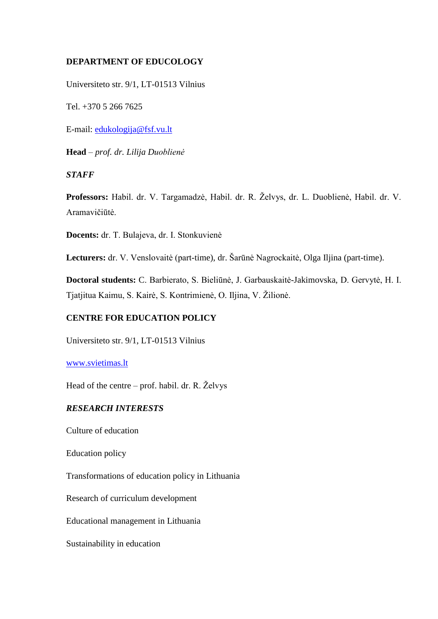## **DEPARTMENT OF EDUCOLOGY**

Universiteto str. 9/1, LT-01513 Vilnius

Tel. +370 5 266 7625

E-mail: [edukologija@fsf.vu.lt](mailto:edukologija@fsf.vu.lt)

**Head** – *prof. dr. Lilija Duoblienė*

## *STAFF*

**Professors:** Habil. dr. V. Targamadzė, Habil. dr. R. Želvys, dr. L. Duoblienė, Habil. dr. V. Aramavičiūtė.

**Docents:** dr. T. Bulajeva, dr. I. Stonkuvienė

**Lecturers:** dr. V. Venslovaitė (part-time), dr. Šarūnė Nagrockaitė, Olga Iljina (part-time).

**Doctoral students:** C. Barbierato, S. Bieliūnė, J. Garbauskaitė-Jakimovska, D. Gervytė, H. I. Tjatjitua Kaimu, S. Kairė, S. Kontrimienė, O. Iljina, V. Žilionė.

## **CENTRE FOR EDUCATION POLICY**

Universiteto str. 9/1, LT-01513 Vilnius

#### [www.svietimas.lt](http://www.svietimas.lt/)

Head of the centre – prof. habil. dr. R. Želvys

## *RESEARCH INTERESTS*

Culture of education

Education policy

Transformations of education policy in Lithuania

Research of curriculum development

Educational management in Lithuania

Sustainability in education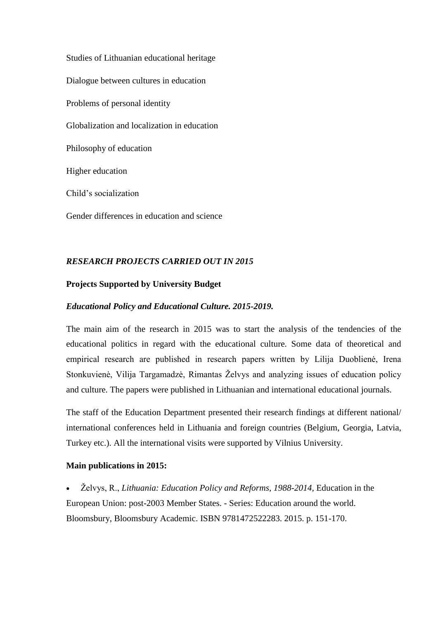Studies of Lithuanian educational heritage Dialogue between cultures in education Problems of personal identity Globalization and localization in education Philosophy of education Higher education Child's socialization Gender differences in education and science

# *RESEARCH PROJECTS CARRIED OUT IN 2015*

## **Projects Supported by University Budget**

## *Educational Policy and Educational Culture. 2015-2019.*

The main aim of the research in 2015 was to start the analysis of the tendencies of the educational politics in regard with the educational culture. Some data of theoretical and empirical research are published in research papers written by Lilija Duoblienė, Irena Stonkuvienė, Vilija Targamadzė, Rimantas Želvys and analyzing issues of education policy and culture. The papers were published in Lithuanian and international educational journals.

The staff of the Education Department presented their research findings at different national/ international conferences held in Lithuania and foreign countries (Belgium, Georgia, Latvia, Turkey etc.). All the international visits were supported by Vilnius University.

#### **Main publications in 2015:**

 Želvys, R., *Lithuania: Education Policy and Reforms, 1988-2014,* Education in the European Union: post-2003 Member States. - Series: Education around the world. Bloomsbury, Bloomsbury Academic. ISBN 9781472522283. 2015. p. 151-170.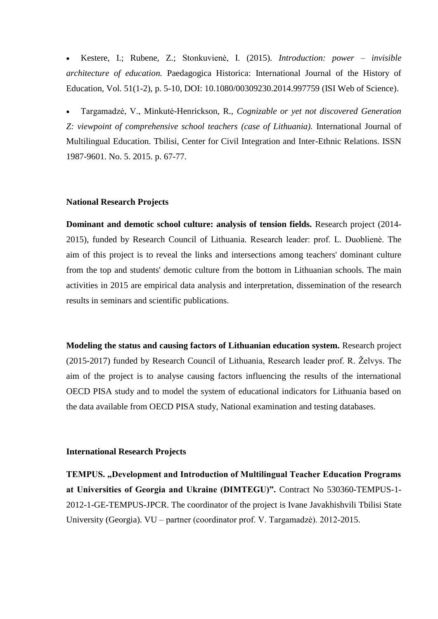Kestere, I.; Rubene, Z.; Stonkuvienė, I. (2015). *Introduction: power – invisible architecture of education.* Paedagogica Historica: International Journal of the History of Education*,* Vol. 51(1-2), p. 5-10, DOI: 10.1080/00309230.2014.997759 (ISI Web of Science).

 Targamadzė, V., Minkutė-Henrickson, R., *Cognizable or yet not discovered Generation*  Z: viewpoint of comprehensive school teachers (case of Lithuania). International Journal of Multilingual Education. Tbilisi, Center for Civil Integration and Inter-Ethnic Relations. ISSN 1987-9601. No. 5. 2015. p. 67-77.

#### **National Research Projects**

**Dominant and demotic school culture: analysis of tension fields.** Research project (2014- 2015), funded by Research Council of Lithuania. Research leader: prof. L. Duoblienė. The aim of this project is to reveal the links and intersections among teachers' dominant culture from the top and students' demotic culture from the bottom in Lithuanian schools. The main activities in 2015 are empirical data analysis and interpretation, dissemination of the research results in seminars and scientific publications.

**Modeling the status and causing factors of Lithuanian education system.** Research project (2015-2017) funded by Research Council of Lithuania, Research leader prof. R. Želvys. The aim of the project is to analyse causing factors influencing the results of the international OECD PISA study and to model the system of educational indicators for Lithuania based on the data available from OECD PISA study, National examination and testing databases.

#### **International Research Projects**

**TEMPUS. "Development and Introduction of Multilingual Teacher Education Programs at Universities of Georgia and Ukraine (DIMTEGU)".** Contract No 530360-TEMPUS-1- 2012-1-GE-TEMPUS-JPCR. The coordinator of the project is Ivane Javakhishvili Tbilisi State University (Georgia). VU – partner (coordinator prof. V. Targamadzė). 2012-2015.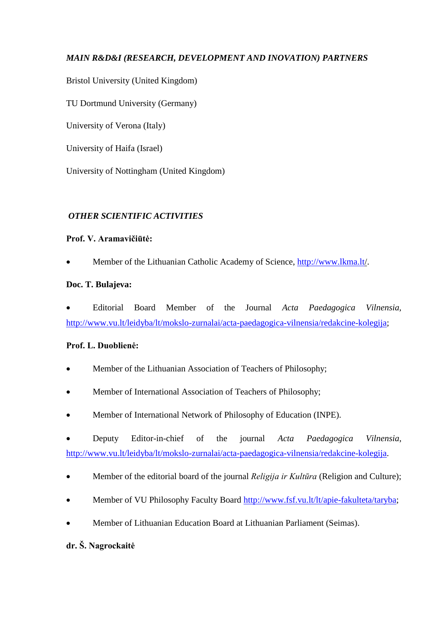# *MAIN R&D&I (RESEARCH, DEVELOPMENT AND INOVATION) PARTNERS*

Bristol University (United Kingdom)

TU Dortmund University (Germany)

University of Verona (Italy)

University of Haifa (Israel)

University of Nottingham (United Kingdom)

## *OTHER SCIENTIFIC ACTIVITIES*

## **Prof. V. Aramavičiūtė:**

Member of the Lithuanian Catholic Academy of Science, http:/[/www.lkma.lt/](http://www.lkma.lt/).

## **Doc. T. Bulajeva:**

 Editorial Board Member of the Journal *Acta Paedagogica Vilnensia,*  [http://www.vu.lt/leidyba/lt/mokslo-zurnalai/acta-paedagogica-vilnensia/redakcine-kolegija;](http://www.vu.lt/leidyba/lt/mokslo-zurnalai/acta-paedagogica-vilnensia/redakcine-kolegija)

## **Prof. L. Duoblienė:**

- Member of the Lithuanian Association of Teachers of Philosophy;
- Member of International Association of Teachers of Philosophy;
- Member of International Network of Philosophy of Education (INPE).
- Deputy Editor-in-chief of the journal *Acta Paedagogica Vilnensia*, [http://www.vu.lt/leidyba/lt/mokslo-zurnalai/acta-paedagogica-vilnensia/redakcine-kolegija.](http://www.vu.lt/leidyba/lt/mokslo-zurnalai/acta-paedagogica-vilnensia/redakcine-kolegija)
- Member of the editorial board of the journal *Religija ir Kultūra* (Religion and Culture);
- Member of VU Philosophy Faculty Board [http://www.fsf.vu.lt/lt/apie-fakulteta/taryba;](http://www.fsf.vu.lt/lt/apie-fakulteta/taryba)
- Member of Lithuanian Education Board at Lithuanian Parliament (Seimas).

# **dr. Š. Nagrockaitė**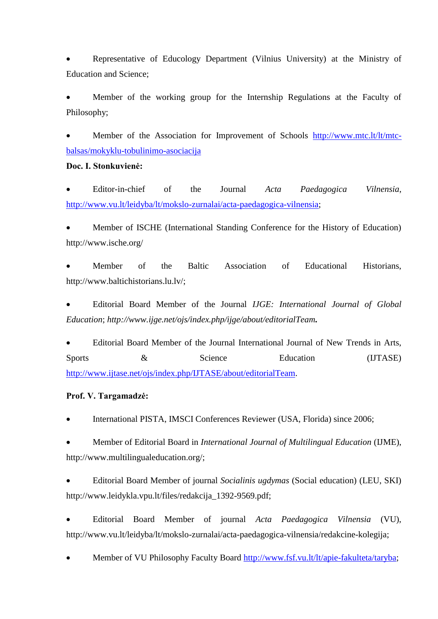Representative of Educology Department (Vilnius University) at the Ministry of Education and Science;

 Member of the working group for the Internship Regulations at the Faculty of Philosophy;

Member of the Association for Improvement of Schools [http://www.mtc.lt/lt/mtc](http://www.mtc.lt/lt/mtc-balsas/mokyklu-tobulinimo-asociacija)[balsas/mokyklu-tobulinimo-asociacija](http://www.mtc.lt/lt/mtc-balsas/mokyklu-tobulinimo-asociacija)

#### **Doc. I. Stonkuvienė:**

 Editor-in-chief of the Journal *Acta Paedagogica Vilnensia*, [http://www.vu.lt/leidyba/lt/mokslo-zurnalai/acta-paedagogica-vilnensia;](http://www.vu.lt/leidyba/lt/mokslo-zurnalai/acta-paedagogica-vilnensia)

 Member of ISCHE (International Standing Conference for the History of Education) http://www.ische.org/

 Member of the Baltic Association of Educational Historians, http://www.baltichistorians.lu.lv/;

 Editorial Board Member of the Journal *IJGE: International Journal of Global Education*; *http://www.ijge.net/ojs/index.php/ijge/about/editorialTeam.*

 Editorial Board Member of the Journal International Journal of New Trends in Arts, Sports  $\&$  Science Education (IJTASE) [http://www.ijtase.net/ojs/index.php/IJTASE/about/editorialTeam.](http://www.ijtase.net/ojs/index.php/IJTASE/about/editorialTeam)

## **Prof. V. Targamadzė:**

International PISTA, IMSCI Conferences Reviewer (USA, Florida) since 2006;

 Member of Editorial Board in *International Journal of Multilingual Education* (IJME), http://www.multilingualeducation.org/;

 Editorial Board Member of journal *Socialinis ugdymas* (Social education) (LEU, SKI) http://www.leidykla.vpu.lt/files/redakcija\_1392-9569.pdf;

 Editorial Board Member of journal *Acta Paedagogica Vilnensia* (VU), http://www.vu.lt/leidyba/lt/mokslo-zurnalai/acta-paedagogica-vilnensia/redakcine-kolegija;

Member of VU Philosophy Faculty Board [http://www.fsf.vu.lt/lt/apie-fakulteta/taryba;](http://www.fsf.vu.lt/lt/apie-fakulteta/taryba)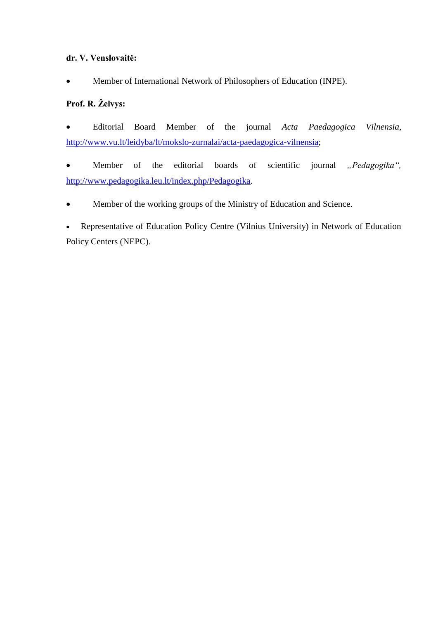## **dr. V. Venslovaitė:**

Member of International Network of Philosophers of Education (INPE).

# **Prof. R. Želvys:**

 Editorial Board Member of the journal *Acta Paedagogica Vilnensia*, [http://www.vu.lt/leidyba/lt/mokslo-zurnalai/acta-paedagogica-vilnensia;](http://www.vu.lt/leidyba/lt/mokslo-zurnalai/acta-paedagogica-vilnensia)

• Member of the editorial boards of scientific journal *"Pedagogika"*, [http://www.pedagogika.leu.lt/index.php/Pedagogika.](http://www.pedagogika.leu.lt/index.php/Pedagogika)

Member of the working groups of the Ministry of Education and Science.

 Representative of Education Policy Centre (Vilnius University) in Network of Education Policy Centers (NEPC).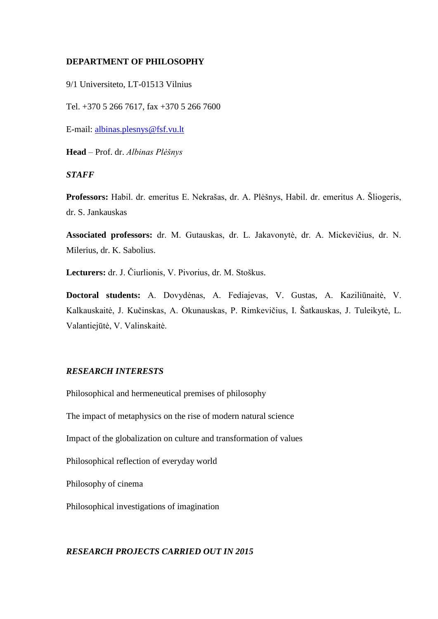#### **DEPARTMENT OF PHILOSOPHY**

9/1 Universiteto, LT-01513 Vilnius

Tel. +370 5 266 7617, fax +370 5 266 7600

E-mail: [albinas.plesnys@fsf.vu.lt](mailto:albinas.plesnys@fsf.vu.lt)

**Head** – Prof. dr. *Albinas Plėšnys*

#### *STAFF*

**Professors:** Habil. dr. emeritus E. Nekrašas, dr. A. Plėšnys, Habil. dr. emeritus A. Šliogeris, dr. S. Jankauskas

**Associated professors:** dr. M. Gutauskas, dr. L. Jakavonytė, dr. A. Mickevičius, dr. N. Milerius, dr. K. Sabolius.

**Lecturers:** dr. J. Čiurlionis, V. Pivorius, dr. M. Stoškus.

**Doctoral students:** A. Dovydėnas, A. Fediajevas, V. Gustas, A. Kaziliūnaitė, V. Kalkauskaitė, J. Kučinskas, A. Okunauskas, P. Rimkevičius, I. Šatkauskas, J. Tuleikytė, L. Valantiejūtė, V. Valinskaitė.

#### *RESEARCH INTERESTS*

Philosophical and hermeneutical premises of philosophy

The impact of metaphysics on the rise of modern natural science

Impact of the globalization on culture and transformation of values

Philosophical reflection of everyday world

Philosophy of cinema

Philosophical investigations of imagination

### *RESEARCH PROJECTS CARRIED OUT IN 2015*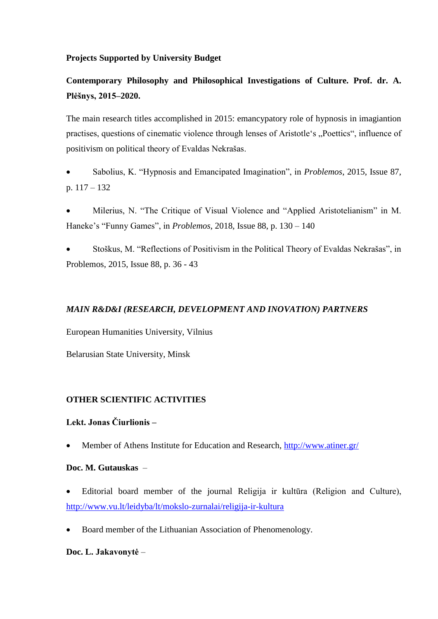## **Projects Supported by University Budget**

# **Contemporary Philosophy and Philosophical Investigations of Culture. Prof. dr. A. Plėšnys, 2015–2020.**

The main research titles accomplished in 2015: emancypatory role of hypnosis in imagiantion practises, questions of cinematic violence through lenses of Aristotle's "Poettics", influence of positivism on political theory of Evaldas Nekrašas.

 Sabolius, K. "Hypnosis and Emancipated Imagination", in *Problemos*, 2015, Issue 87, p. 117 – 132

 Milerius, N. "The Critique of Visual Violence and "Applied Aristotelianism" in M. Haneke's "Funny Games", in *Problemos*, 2018, Issue 88, p. 130 – 140

 Stoškus, M. "Reflections of Positivism in the Political Theory of Evaldas Nekrašas", in Problemos, 2015, Issue 88, p. 36 - 43

## *MAIN R&D&I (RESEARCH, DEVELOPMENT AND INOVATION) PARTNERS*

European Humanities University, Vilnius

Belarusian State University, Minsk

## **OTHER SCIENTIFIC ACTIVITIES**

## **Lekt. Jonas Čiurlionis –**

Member of Athens Institute for Education and Research,<http://www.atiner.gr/>

#### **Doc. M. Gutauskas** –

- Editorial board member of the journal Religija ir kultūra (Religion and Culture), <http://www.vu.lt/leidyba/lt/mokslo-zurnalai/religija-ir-kultura>
- Board member of the Lithuanian Association of Phenomenology.

## **Doc. L. Jakavonytė** –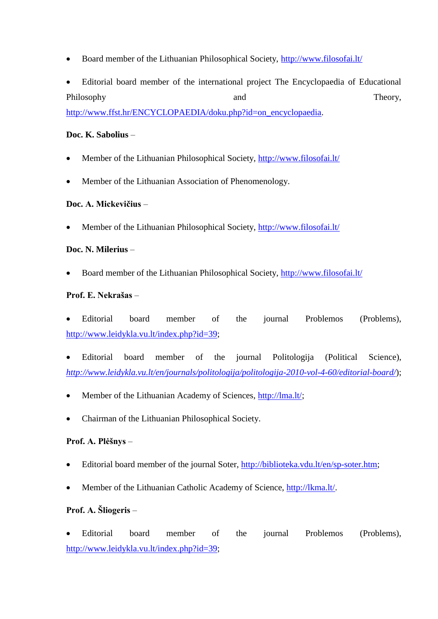- Board member of the Lithuanian Philosophical Society,<http://www.filosofai.lt/>
- Editorial board member of the international project The Encyclopaedia of Educational Philosophy and Theory, and Theory,

[http://www.ffst.hr/ENCYCLOPAEDIA/doku.php?id=on\\_encyclopaedia.](http://www.ffst.hr/ENCYCLOPAEDIA/doku.php?id=on_encyclopaedia)

## **Doc. K. Sabolius** –

- Member of the Lithuanian Philosophical Society,<http://www.filosofai.lt/>
- Member of the Lithuanian Association of Phenomenology.

# **Doc. A. Mickevičius** –

Member of the Lithuanian Philosophical Society,<http://www.filosofai.lt/>

## **Doc. N. Milerius** –

Board member of the Lithuanian Philosophical Society,<http://www.filosofai.lt/>

## **Prof. E. Nekrašas** –

- Editorial board member of the journal Problemos (Problems), [http://www.leidykla.vu.lt/index.php?id=39;](http://www.leidykla.vu.lt/index.php?id=39)
- Editorial board member of the journal Politologija (Political Science), *<http://www.leidykla.vu.lt/en/journals/politologija/politologija-2010-vol-4-60/editorial-board/>*);
- Member of the Lithuanian Academy of Sciences, [http://lma.lt/;](http://lma.lt/)
- Chairman of the Lithuanian Philosophical Society.

# **Prof. A. Plėšnys** –

- Editorial board member of the journal Soter, [http://biblioteka.vdu.lt/en/sp-soter.htm;](http://biblioteka.vdu.lt/en/sp-soter.htm)
- Member of the Lithuanian Catholic Academy of Science, [http://lkma.lt/.](http://lkma.lt/)

# **Prof. A. Šliogeris** –

 Editorial board member of the journal Problemos (Problems), [http://www.leidykla.vu.lt/index.php?id=39;](http://www.leidykla.vu.lt/index.php?id=39)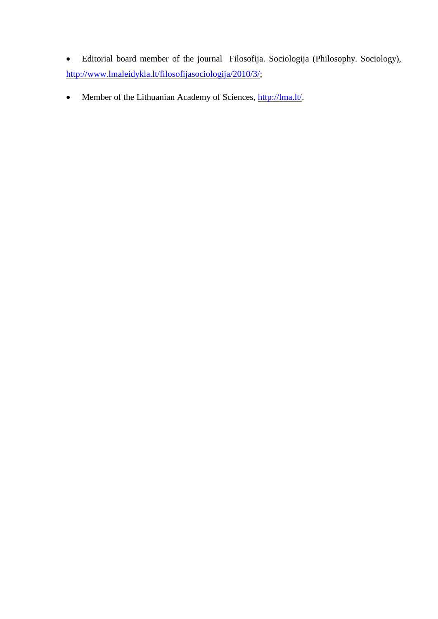- Editorial board member of the journal Filosofija. Sociologija (Philosophy. Sociology), [http://www.lmaleidykla.lt/filosofijasociologija/2010/3/;](http://www.lmaleidykla.lt/filosofijasociologija/2010/3/)
- Member of the Lithuanian Academy of Sciences, [http://lma.lt/.](http://lma.lt/)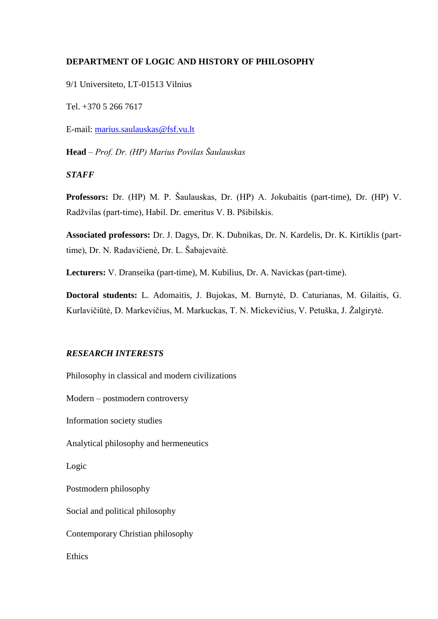## **DEPARTMENT OF LOGIC AND HISTORY OF PHILOSOPHY**

9/1 Universiteto, LT-01513 Vilnius

Tel. +370 5 266 7617

E-mail: [marius.saulauskas@fsf.vu.lt](mailto:marius.saulauskas@fsf.vu.lt)

**Head** – *Prof. Dr. (HP) Marius Povilas Šaulauskas*

### *STAFF*

**Professors:** Dr. (HP) M. P. Šaulauskas, Dr. (HP) A. Jokubaitis (part-time), Dr. (HP) V. Radžvilas (part-time), Habil. Dr. emeritus V. B. Pšibilskis.

**Associated professors:** Dr. J. Dagys, Dr. K. Dubnikas, Dr. N. Kardelis, Dr. K. Kirtiklis (parttime), Dr. N. Radavičienė, Dr. L. Šabajevaitė.

**Lecturers:** V. Dranseika (part-time), M. Kubilius, Dr. A. Navickas (part-time).

**Doctoral students:** L. Adomaitis, J. Bujokas, M. Burnytė, D. Caturianas, M. Gilaitis, G. Kurlavičiūtė, D. Markevičius, M. Markuckas, T. N. Mickevičius, V. Petuška, J. Žalgirytė.

#### *RESEARCH INTERESTS*

Philosophy in classical and modern civilizations

Modern – postmodern controversy

Information society studies

Analytical philosophy and hermeneutics

Logic

Postmodern philosophy

Social and political philosophy

Contemporary Christian philosophy

Ethics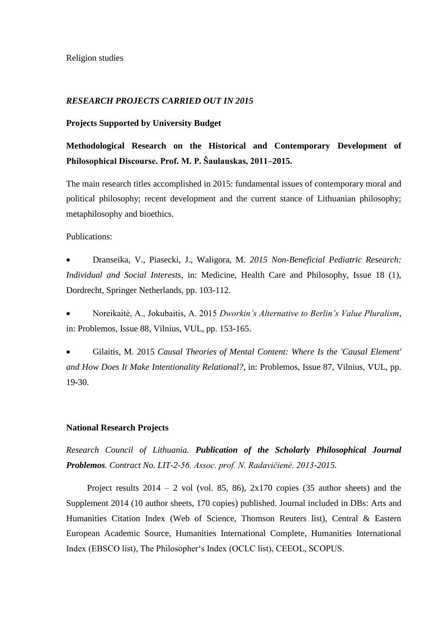### *RESEARCH PROJECTS CARRIED OUT IN 2015*

#### **Projects Supported by University Budget**

# **Methodological Research on the Historical and Contemporary Development of Philosophical Discourse. Prof. M. P. Šaulauskas, 2011–2015.**

The main research titles accomplished in 2015: fundamental issues of contemporary moral and political philosophy; recent development and the current stance of Lithuanian philosophy; metaphilosophy and bioethics.

Publications:

 Dranseika, V., Piasecki, J., Waligora, M. *2015 Non-Beneficial Pediatric Research: Individual and Social Interests*, in: Medicine, Health Care and Philosophy, Issue 18 (1), Dordrecht, Springer Netherlands, pp. 103-112.

 Noreikaitė, A., Jokubaitis, A. 2015 *Dworkin's Alternative to Berlin's Value Pluralism*, in: Problemos, Issue 88, Vilnius, VUL, pp. 153-165.

 Gilaitis, M. 2015 *Causal Theories of Mental Content: Where Is the 'Causal Element' and How Does It Make Intentionality Relational?*, in: Problemos, Issue 87, Vilnius, VUL, pp. 19-30.

#### **National Research Projects**

*Research Council of Lithuania. Publication of the Scholarly Philosophical Journal Problemos. Contract No. LIT-2-56. Assoc. prof. N. Radavičienė. 2013-2015.*

Project results  $2014 - 2$  vol (vol. 85, 86),  $2x170$  copies (35 author sheets) and the Supplement 2014 (10 author sheets, 170 copies) published. Journal included in DBs: Arts and Humanities Citation Index (Web of Science, Thomson Reuters list), Central & Eastern European Academic Source, Humanities International Complete, Humanities International Index (EBSCO list), The Philosopher's Index (OCLC list), CEEOL, SCOPUS.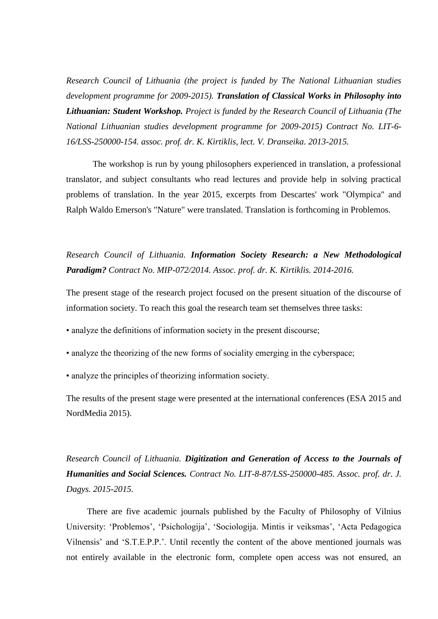*Research Council of Lithuania (the project is funded by The National Lithuanian studies development programme for 2009-2015). Translation of Classical Works in Philosophy into Lithuanian: Student Workshop. Project is funded by the Research Council of Lithuania (The National Lithuanian studies development programme for 2009-2015) Contract No. LIT-6- 16/LSS-250000-154. assoc. prof. dr. K. Kirtiklis, lect. V. Dranseika. 2013-2015.*

The workshop is run by young philosophers experienced in translation, a professional translator, and subject consultants who read lectures and provide help in solving practical problems of translation. In the year 2015, excerpts from Descartes' work "Olympica" and Ralph Waldo Emerson's "Nature" were translated. Translation is forthcoming in Problemos.

# *Research Council of Lithuania. Information Society Research: a New Methodological Paradigm? Contract No. MIP-072/2014. Assoc. prof. dr. K. Kirtiklis. 2014-2016.*

The present stage of the research project focused on the present situation of the discourse of information society. To reach this goal the research team set themselves three tasks:

- analyze the definitions of information society in the present discourse;
- analyze the theorizing of the new forms of sociality emerging in the cyberspace;
- analyze the principles of theorizing information society.

The results of the present stage were presented at the international conferences (ESA 2015 and NordMedia 2015).

*Research Council of Lithuania. Digitization and Generation of Access to the Journals of Humanities and Social Sciences. Contract No. LIT-8-87/LSS-250000-485. Assoc. prof. dr. J. Dagys. 2015-2015.*

There are five academic journals published by the Faculty of Philosophy of Vilnius University: 'Problemos', 'Psichologija', 'Sociologija. Mintis ir veiksmas', 'Acta Pedagogica Vilnensis' and 'S.T.E.P.P.'. Until recently the content of the above mentioned journals was not entirely available in the electronic form, complete open access was not ensured, an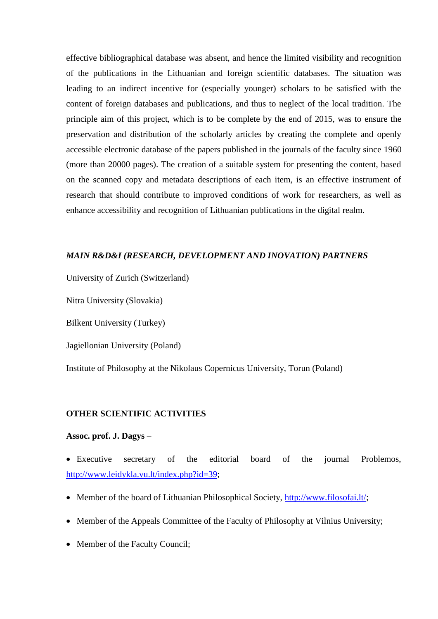effective bibliographical database was absent, and hence the limited visibility and recognition of the publications in the Lithuanian and foreign scientific databases. The situation was leading to an indirect incentive for (especially younger) scholars to be satisfied with the content of foreign databases and publications, and thus to neglect of the local tradition. The principle aim of this project, which is to be complete by the end of 2015, was to ensure the preservation and distribution of the scholarly articles by creating the complete and openly accessible electronic database of the papers published in the journals of the faculty since 1960 (more than 20000 pages). The creation of a suitable system for presenting the content, based on the scanned copy and metadata descriptions of each item, is an effective instrument of research that should contribute to improved conditions of work for researchers, as well as enhance accessibility and recognition of Lithuanian publications in the digital realm.

#### *MAIN R&D&I (RESEARCH, DEVELOPMENT AND INOVATION) PARTNERS*

University of Zurich (Switzerland)

Nitra University (Slovakia)

Bilkent University (Turkey)

Jagiellonian University (Poland)

Institute of Philosophy at the Nikolaus Copernicus University, Torun (Poland)

#### **OTHER SCIENTIFIC ACTIVITIES**

#### **Assoc. prof. J. Dagys** –

 Executive secretary of the editorial board of the journal Problemos, [http://www.leidykla.vu.lt/index.php?id=39;](http://www.leidykla.vu.lt/index.php?id=39)

- Member of the board of Lithuanian Philosophical Society, [http://www.filosofai.lt/;](http://www.filosofai.lt/)
- Member of the Appeals Committee of the Faculty of Philosophy at Vilnius University;
- Member of the Faculty Council;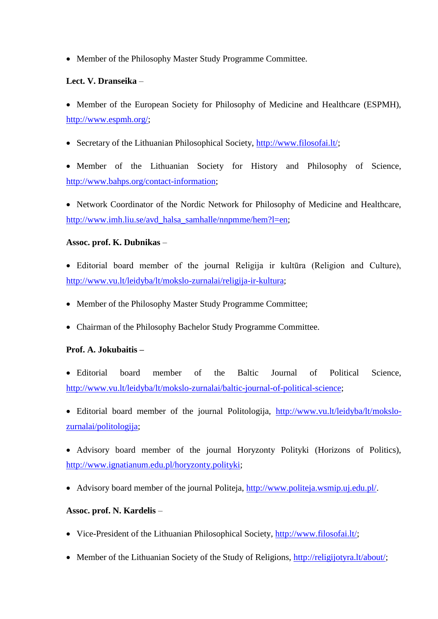Member of the Philosophy Master Study Programme Committee.

## **Lect. V. Dranseika** –

 Member of the European Society for Philosophy of Medicine and Healthcare (ESPMH), [http://www.espmh.org/;](http://www.espmh.org/)

• Secretary of the Lithuanian Philosophical Society, [http://www.filosofai.lt/;](http://www.filosofai.lt/)

 Member of the Lithuanian Society for History and Philosophy of Science, [http://www.bahps.org/contact-information;](http://www.bahps.org/contact-information)

• Network Coordinator of the Nordic Network for Philosophy of Medicine and Healthcare, [http://www.imh.liu.se/avd\\_halsa\\_samhalle/nnpmme/hem?l=en;](http://www.imh.liu.se/avd_halsa_samhalle/nnpmme/hem?l=en)

## **Assoc. prof. K. Dubnikas** –

- Editorial board member of the journal Religija ir kultūra (Religion and Culture), [http://www.vu.lt/leidyba/lt/mokslo-zurnalai/religija-ir-kultura;](http://www.vu.lt/leidyba/lt/mokslo-zurnalai/religija-ir-kultura)
- Member of the Philosophy Master Study Programme Committee;
- Chairman of the Philosophy Bachelor Study Programme Committee.

## **Prof. A. Jokubaitis –**

- Editorial board member of the Baltic Journal of Political Science, [http://www.vu.lt/leidyba/lt/mokslo-zurnalai/baltic-journal-of-political-science;](http://www.vu.lt/leidyba/lt/mokslo-zurnalai/baltic-journal-of-political-science)
- Editorial board member of the journal Politologija, [http://www.vu.lt/leidyba/lt/mokslo](http://www.vu.lt/leidyba/lt/mokslo-zurnalai/politologija)[zurnalai/politologija;](http://www.vu.lt/leidyba/lt/mokslo-zurnalai/politologija)
- Advisory board member of the journal Horyzonty Polityki (Horizons of Politics), [http://www.ignatianum.edu.pl/horyzonty.polityki;](http://www.ignatianum.edu.pl/horyzonty.polityki)
- Advisory board member of the journal Politeja, [http://www.politeja.wsmip.uj.edu.pl/.](http://www.politeja.wsmip.uj.edu.pl/)

## **Assoc. prof. N. Kardelis** –

- Vice-President of the Lithuanian Philosophical Society, [http://www.filosofai.lt/;](http://www.filosofai.lt/)
- Member of the Lithuanian Society of the Study of Religions, [http://religijotyra.lt/about/;](http://religijotyra.lt/about/)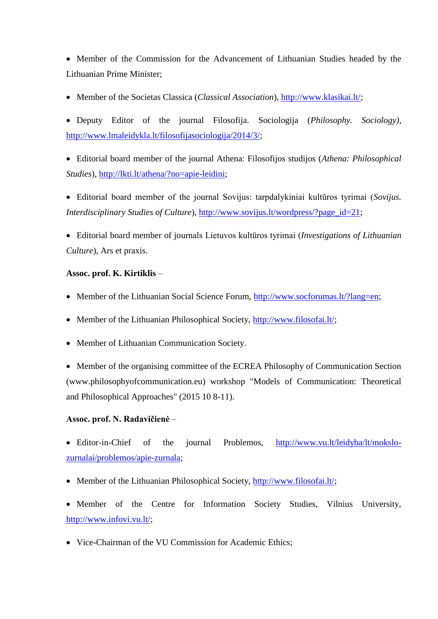Member of the Commission for the Advancement of Lithuanian Studies headed by the Lithuanian Prime Minister;

Member of the Societas Classica (*Classical Association*), [http://www.klasikai.lt/;](http://www.klasikai.lt/)

 Deputy Editor of the journal Filosofija. Sociologija (*Philosophy. Sociology)*, [http://www.lmaleidykla.lt/filosofijasociologija/2014/3/;](http://www.lmaleidykla.lt/filosofijasociologija/2014/3/)

- Editorial board member of the journal Athena: Filosofijos studijos (*Athena: Philosophical Studies*), [http://lkti.lt/athena/?no=apie-leidini;](http://lkti.lt/athena/?no=apie-leidini)
- Editorial board member of the journal Sovijus: tarpdalykiniai kultūros tyrimai (*Sovijus. Interdisciplinary Studies of Culture*), [http://www.sovijus.lt/wordpress/?page\\_id=21;](http://www.sovijus.lt/wordpress/?page_id=21)
- Editorial board member of journals Lietuvos kultūros tyrimai (*Investigations of Lithuanian Culture*), Ars et praxis.

## **Assoc. prof. K. Kirtiklis** –

- Member of the Lithuanian Social Science Forum, [http://www.socforumas.lt/?lang=en;](http://www.socforumas.lt/?lang=en)
- Member of the Lithuanian Philosophical Society, [http://www.filosofai.lt/;](http://www.filosofai.lt/)
- Member of Lithuanian Communication Society.

 Member of the organising committee of the ECREA Philosophy of Communication Section [\(www.philosophyofcommunication.eu\)](http://www.philosophyofcommunication.eu/) workshop "Models of Communication: Theoretical and Philosophical Approaches" (2015 10 8-11).

## **Assoc. prof. N. Radavičienė** –

• Editor-in-Chief of the journal Problemos, [http://www.vu.lt/leidyba/lt/mokslo](http://www.vu.lt/leidyba/lt/mokslo-zurnalai/problemos/apie-zurnala)[zurnalai/problemos/apie-zurnala;](http://www.vu.lt/leidyba/lt/mokslo-zurnalai/problemos/apie-zurnala)

- Member of the Lithuanian Philosophical Society, [http://www.filosofai.lt/;](http://www.filosofai.lt/)
- Member of the Centre for Information Society Studies, Vilnius University, [http://www.infovi.vu.lt/;](http://www.infovi.vu.lt/)
- Vice-Chairman of the VU Commission for Academic Ethics: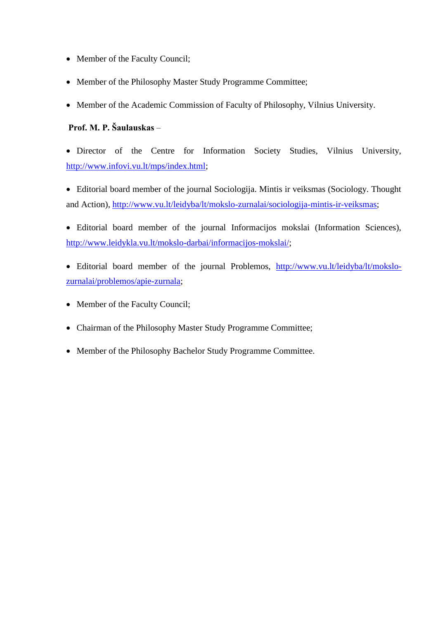- Member of the Faculty Council;
- Member of the Philosophy Master Study Programme Committee;
- Member of the Academic Commission of Faculty of Philosophy, Vilnius University.

# **Prof. M. P. Šaulauskas** –

• Director of the Centre for Information Society Studies, Vilnius University, [http://www.infovi.vu.lt/mps/index.html;](http://www.infovi.vu.lt/mps/index.html)

 Editorial board member of the journal Sociologija. Mintis ir veiksmas (Sociology. Thought and Action), [http://www.vu.lt/leidyba/lt/mokslo-zurnalai/sociologija-mintis-ir-veiksmas;](http://www.vu.lt/leidyba/lt/mokslo-zurnalai/sociologija-mintis-ir-veiksmas)

 Editorial board member of the journal Informacijos mokslai (Information Sciences), [http://www.leidykla.vu.lt/mokslo-darbai/informacijos-mokslai/;](http://www.leidykla.vu.lt/mokslo-darbai/informacijos-mokslai/)

- Editorial board member of the journal Problemos, [http://www.vu.lt/leidyba/lt/mokslo](http://www.vu.lt/leidyba/lt/mokslo-zurnalai/problemos/apie-zurnala)[zurnalai/problemos/apie-zurnala;](http://www.vu.lt/leidyba/lt/mokslo-zurnalai/problemos/apie-zurnala)
- Member of the Faculty Council;
- Chairman of the Philosophy Master Study Programme Committee;
- Member of the Philosophy Bachelor Study Programme Committee.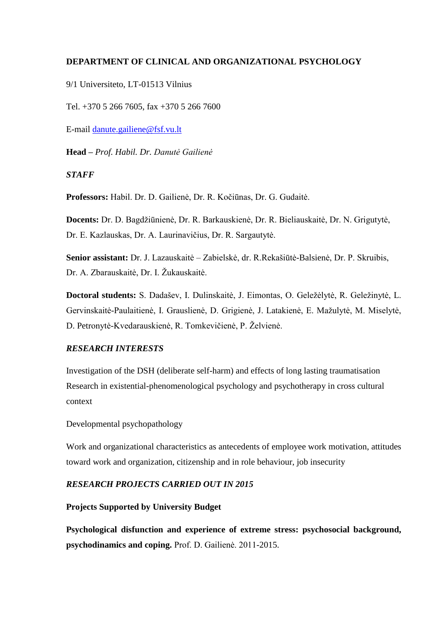## **DEPARTMENT OF CLINICAL AND ORGANIZATIONAL PSYCHOLOGY**

9/1 Universiteto, LT-01513 Vilnius

Tel. +370 5 266 7605, fax +370 5 266 7600

E-mail [danute.gailiene@fsf.vu.lt](mailto:danute.gailiene@fsf.vu.lt)

**Head –** *Prof. Habil. Dr. Danutė Gailienė*

### *STAFF*

**Professors:** Habil. Dr. D. Gailienė, Dr. R. Kočiūnas, Dr. G. Gudaitė.

**Docents:** Dr. D. Bagdžiūnienė, Dr. R. Barkauskienė, Dr. R. Bieliauskaitė, Dr. N. Grigutytė, Dr. E. Kazlauskas, Dr. A. Laurinavičius, Dr. R. Sargautytė.

**Senior assistant:** Dr. J. Lazauskaitė – Zabielskė, dr. R.Rekašiūtė-Balsienė, Dr. P. Skruibis, Dr. A. Zbarauskaitė, Dr. I. Žukauskaitė.

**Doctoral students:** S. Dadašev, I. Dulinskaitė, J. Eimontas, O. Geležėlytė, R. Geležinytė, L. Gervinskaitė-Paulaitienė, I. Grauslienė, D. Grigienė, J. Latakienė, E. Mažulytė, M. Miselytė, D. Petronytė-Kvedarauskienė, R. Tomkevičienė, P. Želvienė.

## *RESEARCH INTERESTS*

Investigation of the DSH (deliberate self-harm) and effects of long lasting traumatisation Research in existential-phenomenological psychology and psychotherapy in cross cultural context

Developmental psychopathology

Work and organizational characteristics as antecedents of employee work motivation, attitudes toward work and organization, citizenship and in role behaviour, job insecurity

## *RESEARCH PROJECTS CARRIED OUT IN 2015*

#### **Projects Supported by University Budget**

**Psychological disfunction and experience of extreme stress: psychosocial background, psychodinamics and coping.** Prof. D. Gailienė. 2011-2015.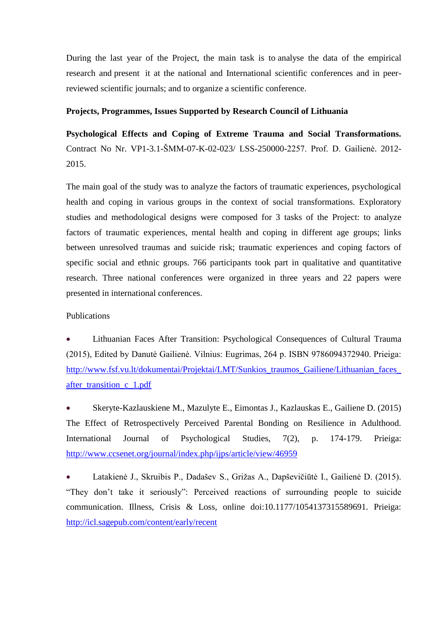During the last year of the Project, the main task is to analyse the data of the empirical research and present it at the national and International scientific conferences and in peerreviewed scientific journals; and to organize a scientific conference.

#### **Projects, Programmes, Issues Supported by Research Council of Lithuania**

**Psychological Effects and Coping of Extreme Trauma and Social Transformations.** Contract No Nr. VP1-3.1-ŠMM-07-K-02-023/ LSS-250000-2257. Prof. D. Gailienė. 2012- 2015.

The main goal of the study was to analyze the factors of traumatic experiences, psychological health and coping in various groups in the context of social transformations. Exploratory studies and methodological designs were composed for 3 tasks of the Project: to analyze factors of traumatic experiences, mental health and coping in different age groups; links between unresolved traumas and suicide risk; traumatic experiences and coping factors of specific social and ethnic groups. 766 participants took part in qualitative and quantitative research. Three national conferences were organized in three years and 22 papers were presented in international conferences.

#### Publications

 Lithuanian Faces After Transition: Psychological Consequences of Cultural Trauma (2015), Edited by Danutė Gailienė. Vilnius: Eugrimas, 264 p. ISBN 9786094372940. Prieiga: [http://www.fsf.vu.lt/dokumentai/Projektai/LMT/Sunkios\\_traumos\\_Gailiene/Lithuanian\\_faces\\_](http://www.fsf.vu.lt/dokumentai/Projektai/LMT/Sunkios_traumos_Gailiene/Lithuanian_faces_after_transition_c_1.pdf) after transition c 1.pdf

 Skeryte-Kazlauskiene M., Mazulyte E., Eimontas J., Kazlauskas E., Gailiene D. (2015) The Effect of Retrospectively Perceived Parental Bonding on Resilience in Adulthood. International Journal of Psychological Studies, 7(2), p. 174-179. Prieiga: <http://www.ccsenet.org/journal/index.php/ijps/article/view/46959>

 Latakienė J., Skruibis P., Dadašev S., Grižas A., Dapševičiūtė I., Gailienė D. (2015). "They don't take it seriously": Perceived reactions of surrounding people to suicide communication. Illness, Crisis & Loss, online doi:10.1177/1054137315589691. Prieiga: <http://icl.sagepub.com/content/early/recent>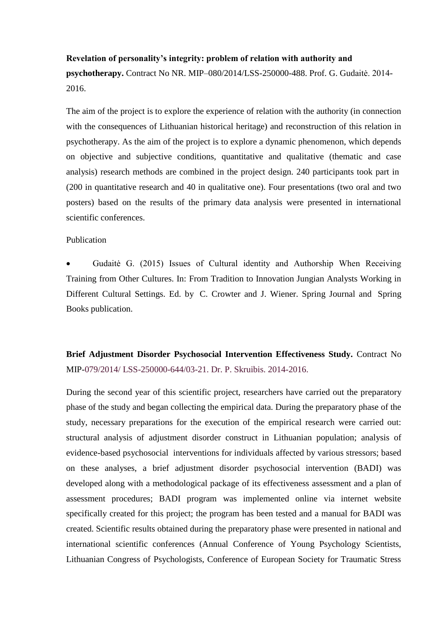#### **Revelation of personality's integrity: problem of relation with authority and**

**psychotherapy.** Contract No NR. MIP–080/2014/LSS-250000-488. Prof. G. Gudaitė. 2014- 2016.

The aim of the project is to explore the experience of relation with the authority (in connection with the consequences of Lithuanian historical heritage) and reconstruction of this relation in psychotherapy. As the aim of the project is to explore a dynamic phenomenon, which depends on objective and subjective conditions, quantitative and qualitative (thematic and case analysis) research methods are combined in the project design. 240 participants took part in (200 in quantitative research and 40 in qualitative one). Four presentations (two oral and two posters) based on the results of the primary data analysis were presented in international scientific conferences.

#### Publication

 Gudaitė G. (2015) Issues of Cultural identity and Authorship When Receiving Training from Other Cultures. In: From Tradition to Innovation Jungian Analysts Working in Different Cultural Settings. Ed. by C. Crowter and J. Wiener. Spring Journal and Spring Books publication.

**Brief Adjustment Disorder Psychosocial Intervention Effectiveness Study.** Contract No MIP-079/2014/ LSS-250000-644/03-21. Dr. P. Skruibis. 2014-2016.

During the second year of this scientific project, researchers have carried out the preparatory phase of the study and began collecting the empirical data. During the preparatory phase of the study, necessary preparations for the execution of the empirical research were carried out: structural analysis of adjustment disorder construct in Lithuanian population; analysis of evidence-based psychosocial interventions for individuals affected by various stressors; based on these analyses, a brief adjustment disorder psychosocial intervention (BADI) was developed along with a methodological package of its effectiveness assessment and a plan of assessment procedures; BADI program was implemented online via internet website specifically created for this project; the program has been tested and a manual for BADI was created. Scientific results obtained during the preparatory phase were presented in national and international scientific conferences (Annual Conference of Young Psychology Scientists, Lithuanian Congress of Psychologists, Conference of European Society for Traumatic Stress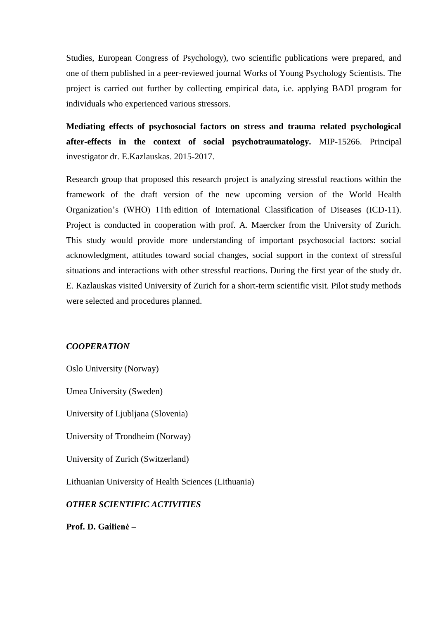Studies, European Congress of Psychology), two scientific publications were prepared, and one of them published in a peer-reviewed journal Works of Young Psychology Scientists. The project is carried out further by collecting empirical data, i.e. applying BADI program for individuals who experienced various stressors.

**Mediating effects of psychosocial factors on stress and trauma related psychological after-effects in the context of social psychotraumatology.** MIP-15266. Principal investigator dr. E.Kazlauskas. 2015-2017.

Research group that proposed this research project is analyzing stressful reactions within the framework of the draft version of the new upcoming version of the World Health Organization's (WHO) 11th edition of International Classification of Diseases (ICD-11). Project is conducted in cooperation with prof. A. Maercker from the University of Zurich. This study would provide more understanding of important psychosocial factors: social acknowledgment, attitudes toward social changes, social support in the context of stressful situations and interactions with other stressful reactions. During the first year of the study dr. E. Kazlauskas visited University of Zurich for a short-term scientific visit. Pilot study methods were selected and procedures planned.

#### *COOPERATION*

Oslo University (Norway)

Umea University (Sweden)

University of Ljubljana (Slovenia)

University of Trondheim (Norway)

University of Zurich (Switzerland)

Lithuanian University of Health Sciences (Lithuania)

#### *OTHER SCIENTIFIC ACTIVITIES*

**Prof. D. Gailienė –**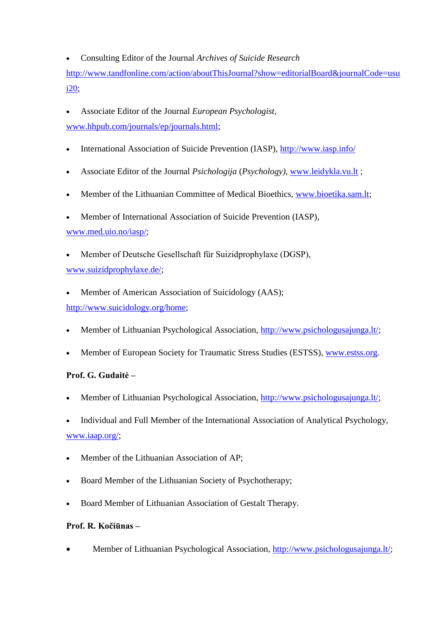Consulting Editor of the Journal *Archives of Suicide Research* 

http://www.tandfonline.com/action/aboutThisJournal?show=editorialBoard&journalCode=usu i20;

- Associate Editor of the Journal *European Psychologist,* [www.hhpub.com/journals/ep/journals.html;](http://www.hhpub.com/journals/ep/journals.html)
- International Association of Suicide Prevention (IASP),<http://www.iasp.info/>
- Associate Editor of the Journal *Psichologija* (*Psychology)*, [www.leidykla.vu.lt](http://www.leidykla.vu.lt/) ;
- Member of the Lithuanian Committee of Medical Bioethics, [www.bioetika.sam.lt;](http://www.bioetika.sam.lt/)
- Member of International Association of Suicide Prevention (IASP),

[www.med.uio.no/iasp/;](http://www.med.uio.no/iasp/)

 Member of Deutsche Gesellschaft für Suizidprophylaxe (DGSP), [www.suizidprophylaxe.de/;](http://www.suizidprophylaxe.de/)

Member of American Association of Suicidology (AAS);

[http://www.suicidology.org/home;](http://www.suicidology.org/home)

- Member of Lithuanian Psychological Association, [http://www.psichologusajunga.lt/;](http://www.psichologusajunga.lt/)
- Member of European Society for Traumatic Stress Studies (ESTSS), [www.estss.org.](http://www.estss.org/)

# **Prof. G. Gudaitė –**

- Member of Lithuanian Psychological Association, [http://www.psichologusajunga.lt/;](http://www.psichologusajunga.lt/)
- Individual and Full Member of the International Association of Analytical Psychology, [www.iaap.org/;](http://www.iaap.org/)
- Member of the Lithuanian Association of AP;
- Board Member of the Lithuanian Society of Psychotherapy;
- Board Member of Lithuanian Association of Gestalt Therapy.

# **Prof. R. Kočiūnas –**

Member of Lithuanian Psychological Association, [http://www.psichologusajunga.lt/;](http://www.psichologusajunga.lt/)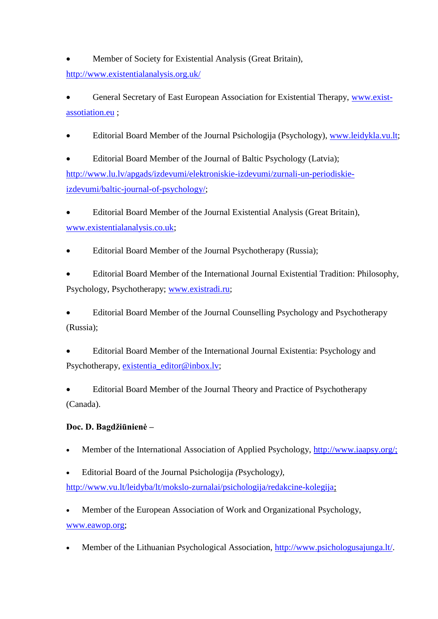Member of Society for Existential Analysis (Great Britain), <http://www.existentialanalysis.org.uk/>

 General Secretary of East European Association for Existential Therapy, [www.exist](http://www.exist-assotiation.eu/)[assotiation.eu](http://www.exist-assotiation.eu/) ;

Editorial Board Member of the Journal Psichologija (Psychology), [www.leidykla.vu.lt;](http://www.leidykla.vu.lt/)

 Editorial Board Member of the Journal of Baltic Psychology (Latvia); [http://www.lu.lv/apgads/izdevumi/elektroniskie-izdevumi/zurnali-un-periodiskie](http://www.lu.lv/apgads/izdevumi/elektroniskie-izdevumi/zurnali-un-periodiskie-izdevumi/baltic-journal-of-psychology/)[izdevumi/baltic-journal-of-psychology/;](http://www.lu.lv/apgads/izdevumi/elektroniskie-izdevumi/zurnali-un-periodiskie-izdevumi/baltic-journal-of-psychology/)

 Editorial Board Member of the Journal Existential Analysis (Great Britain), [www.existentialanalysis.co.uk;](http://www.existentialanalysis.co.uk/)

Editorial Board Member of the Journal Psychotherapy (Russia);

 Editorial Board Member of the International Journal Existential Tradition: Philosophy, Psychology, Psychotherapy; [www.existradi.ru;](http://www.existradi.ru/)

 Editorial Board Member of the Journal Counselling Psychology and Psychotherapy (Russia);

 Editorial Board Member of the International Journal Existentia: Psychology and Psychotherapy, [existentia\\_editor@inbox.lv;](mailto:existentia_editor@inbox.lv)

 Editorial Board Member of the Journal Theory and Practice of Psychotherapy (Canada).

# **Doc. D. Bagdžiūnienė –**

- Member of the International Association of Applied Psychology, [http://www.iaapsy.org/;](http://www.iaapsy.org/)
- Editorial Board of the Journal Psichologija *(*Psychology*),*  [http://www.vu.lt/leidyba/lt/mokslo-zurnalai/psichologija/redakcine-kolegija;](http://www.vu.lt/leidyba/lt/mokslo-zurnalai/psichologija/redakcine-kolegija)

 Member of the European Association of Work and Organizational Psychology, [www.eawop.org;](http://www.eawop.org/)

Member of the Lithuanian Psychological Association, [http://www.psichologusajunga.lt/.](http://www.psichologusajunga.lt/)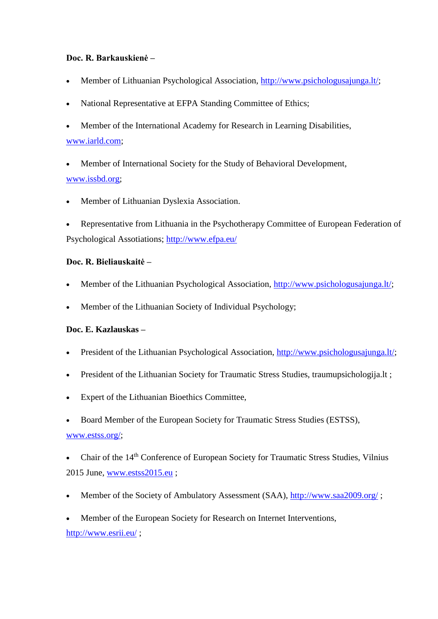## **Doc. R. Barkauskienė –**

- Member of Lithuanian Psychological Association, [http://www.psichologusajunga.lt/;](http://www.psichologusajunga.lt/)
- National Representative at EFPA Standing Committee of Ethics;
- Member of the International Academy for Research in Learning Disabilities, [www.iarld.com;](http://www.iarld.com/)
- Member of International Society for the Study of Behavioral Development, [www.issbd.org;](http://www.issbd.org/)
- Member of Lithuanian Dyslexia Association.
- Representative from Lithuania in the Psychotherapy Committee of European Federation of Psychological Assotiations;<http://www.efpa.eu/>

### **Doc. R. Bieliauskaitė –**

- Member of the Lithuanian Psychological Association, [http://www.psichologusajunga.lt/;](http://www.psichologusajunga.lt/)
- Member of the Lithuanian Society of Individual Psychology;

## **Doc. E. Kazlauskas –**

- President of the Lithuanian Psychological Association, [http://www.psichologusajunga.lt/;](http://www.psichologusajunga.lt/)
- President of the Lithuanian Society for Traumatic Stress Studies, traumupsichologija.lt ;
- Expert of the Lithuanian Bioethics Committee,
- Board Member of the European Society for Traumatic Stress Studies (ESTSS), [www.estss.org/;](http://www.estss.org/)
- Chair of the 14th Conference of European Society for Traumatic Stress Studies, Vilnius 2015 June, [www.estss2015.eu](http://www.estss2015.eu/) ;
- Member of the Society of Ambulatory Assessment (SAA),<http://www.saa2009.org/>;
- Member of the European Society for Research on Internet Interventions, <http://www.esrii.eu/>;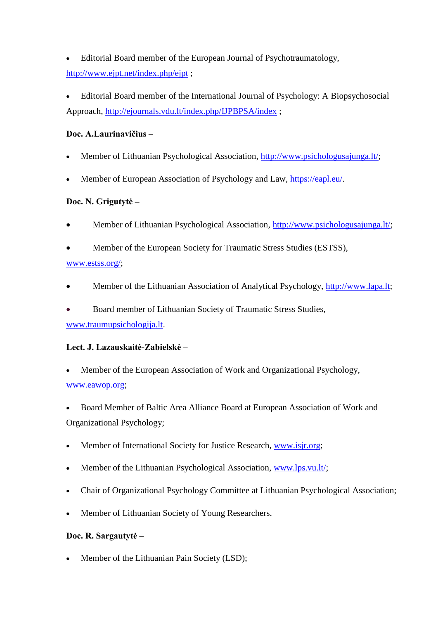Editorial Board member of the European Journal of Psychotraumatology, <http://www.ejpt.net/index.php/ejpt> ;

 Editorial Board member of the International Journal of Psychology: A Biopsychosocial Approach,<http://ejournals.vdu.lt/index.php/IJPBPSA/index> ;

## **Doc. A.Laurinavičius –**

- Member of Lithuanian Psychological Association, [http://www.psichologusajunga.lt/;](http://www.psichologusajunga.lt/)
- Member of European Association of Psychology and Law, [https://eapl.eu/.](https://eapl.eu/)

## **Doc. N. Grigutytė –**

- Member of Lithuanian Psychological Association, [http://www.psichologusajunga.lt/;](http://www.psichologusajunga.lt/)
- Member of the European Society for Traumatic Stress Studies (ESTSS), [www.estss.org/;](http://www.estss.org/)
- Member of the Lithuanian Association of Analytical Psychology, [http://www.lapa.lt;](http://www.lapa.lt/)
- Board member of Lithuanian Society of Traumatic Stress Studies, [www.traumupsichologija.lt.](http://www.traumupsichologija.lt/)

## **Lect. J. Lazauskaitė-Zabielskė –**

- Member of the European Association of Work and Organizational Psychology, [www.eawop.org;](http://www.eawop.org/)
- Board Member of Baltic Area Alliance Board at European Association of Work and Organizational Psychology;
- Member of International Society for Justice Research, [www.isjr.org;](http://www.isjr.org/)
- Member of the Lithuanian Psychological Association, [www.lps.vu.lt/;](http://www.lps.vu.lt/)
- Chair of Organizational Psychology Committee at Lithuanian Psychological Association;
- Member of Lithuanian Society of Young Researchers.

## **Doc. R. Sargautytė –**

Member of the Lithuanian Pain Society (LSD);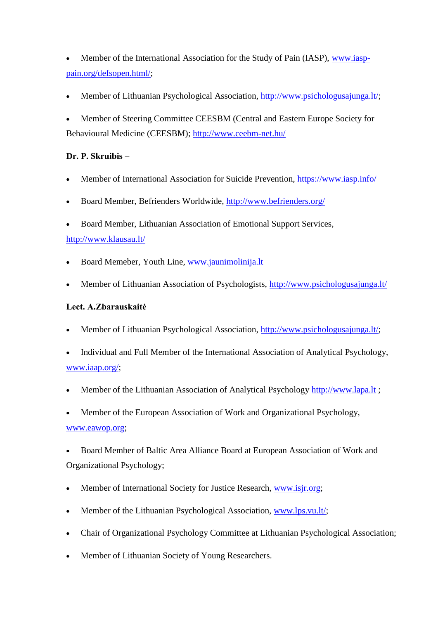- Member of the International Association for the Study of Pain (IASP), [www.iasp](http://www.iasp-pain.org/defsopen.html/)[pain.org/defsopen.html/;](http://www.iasp-pain.org/defsopen.html/)
- Member of Lithuanian Psychological Association, [http://www.psichologusajunga.lt/;](http://www.psichologusajunga.lt/)
- Member of Steering Committee CEESBM (Central and Eastern Europe Society for Behavioural Medicine (CEESBM);<http://www.ceebm-net.hu/>

# **Dr. P. Skruibis –**

- Member of International Association for Suicide Prevention,<https://www.iasp.info/>
- Board Member, Befrienders Worldwide,<http://www.befrienders.org/>
- Board Member, Lithuanian Association of Emotional Support Services, <http://www.klausau.lt/>
- Board Memeber, Youth Line, [www.jaunimolinija.lt](http://www.jaunimolinija.lt/)
- Member of Lithuanian Association of Psychologists,<http://www.psichologusajunga.lt/>

## **Lect. A.Zbarauskaitė**

- Member of Lithuanian Psychological Association, [http://www.psichologusajunga.lt/;](http://www.psichologusajunga.lt/)
- Individual and Full Member of the International Association of Analytical Psychology, [www.iaap.org/;](http://www.iaap.org/)
- Member of the Lithuanian Association of Analytical Psychology [http://www.lapa.lt](http://www.lapa.lt/) ;
- Member of the European Association of Work and Organizational Psychology, [www.eawop.org;](http://www.eawop.org/)
- Board Member of Baltic Area Alliance Board at European Association of Work and Organizational Psychology;
- Member of International Society for Justice Research, [www.isjr.org;](http://www.isjr.org/)
- Member of the Lithuanian Psychological Association, [www.lps.vu.lt/;](http://www.lps.vu.lt/)
- Chair of Organizational Psychology Committee at Lithuanian Psychological Association;
- Member of Lithuanian Society of Young Researchers.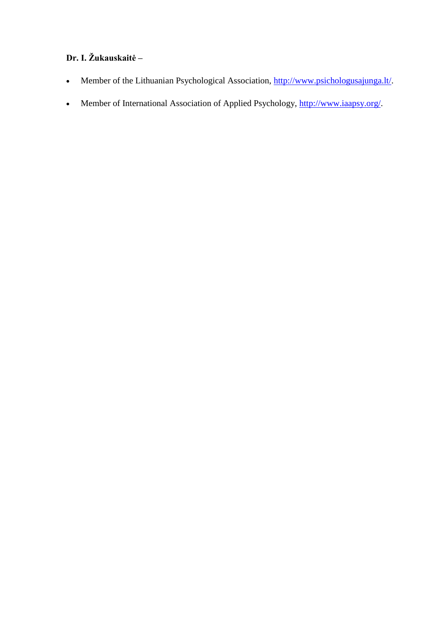# **Dr. I. Žukauskaitė –**

- Member of the Lithuanian Psychological Association, [http://www.psichologusajunga.lt/.](http://www.psichologusajunga.lt/)
- Member of International Association of Applied Psychology, [http://www.iaapsy.org/.](http://www.iaapsy.org/)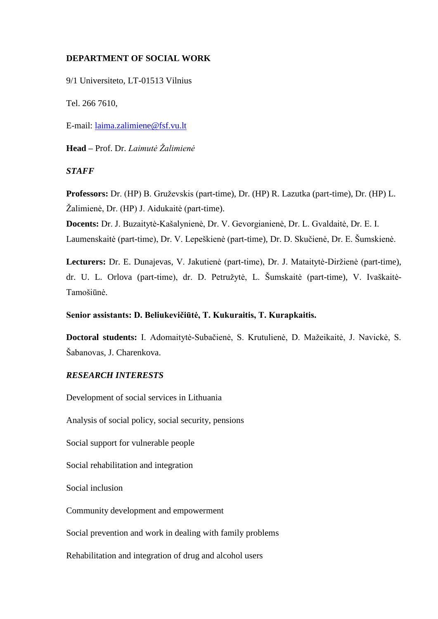## **DEPARTMENT OF SOCIAL WORK**

9/1 Universiteto, LT-01513 Vilnius

Tel. 266 7610,

E-mail: [laima.zalimiene@fsf.vu.lt](mailto:laima.zalimiene@fsf.vu.lt)

**Head –** Prof. Dr. *Laimutė Žalimienė*

*STAFF*

**Professors:** Dr. (HP) B. Gruževskis (part-time), Dr. (HP) R. Lazutka (part-time), Dr. (HP) L. Žalimienė, Dr. (HP) J. Aidukaitė (part-time).

**Docents:** Dr. J. Buzaitytė-Kašalynienė, Dr. V. Gevorgianienė, Dr. L. Gvaldaitė, Dr. E. I. Laumenskaitė (part-time), Dr. V. Lepeškienė (part-time), Dr. D. Skučienė, Dr. E. Šumskienė.

**Lecturers:** Dr. E. Dunajevas, V. Jakutienė (part-time), Dr. J. Mataitytė-Diržienė (part-time), dr. U. L. Orlova (part-time), dr. D. Petružytė, L. Šumskaitė (part-time), V. Ivaškaitė-Tamošiūnė.

#### **Senior assistants: D. Beliukevičiūtė, T. Kukuraitis, T. Kurapkaitis.**

**Doctoral students:** I. Adomaitytė-Subačienė, S. Krutulienė, D. Mažeikaitė, J. Navickė, S. Šabanovas, J. Charenkova.

#### *RESEARCH INTERESTS*

Development of social services in Lithuania

Analysis of social policy, social security, pensions

Social support for vulnerable people

Social rehabilitation and integration

Social inclusion

Community development and empowerment

Social prevention and work in dealing with family problems

Rehabilitation and integration of drug and alcohol users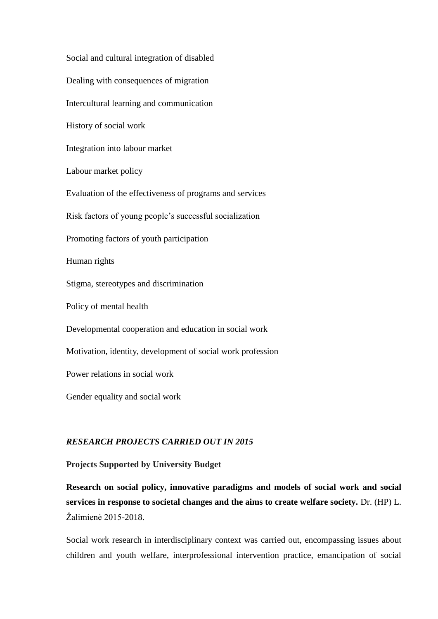Social and cultural integration of disabled Dealing with consequences of migration Intercultural learning and communication History of social work Integration into labour market Labour market policy Evaluation of the effectiveness of programs and services Risk factors of young people's successful socialization Promoting factors of youth participation Human rights Stigma, stereotypes and discrimination Policy of mental health Developmental cooperation and education in social work Motivation, identity, development of social work profession Power relations in social work Gender equality and social work

## *RESEARCH PROJECTS CARRIED OUT IN 2015*

#### **Projects Supported by University Budget**

**Research on social policy, innovative paradigms and models of social work and social services in response to societal changes and the aims to create welfare society.** Dr. (HP) L. Žalimienė 2015-2018.

Social work research in interdisciplinary context was carried out, encompassing issues about children and youth welfare, interprofessional intervention practice, emancipation of social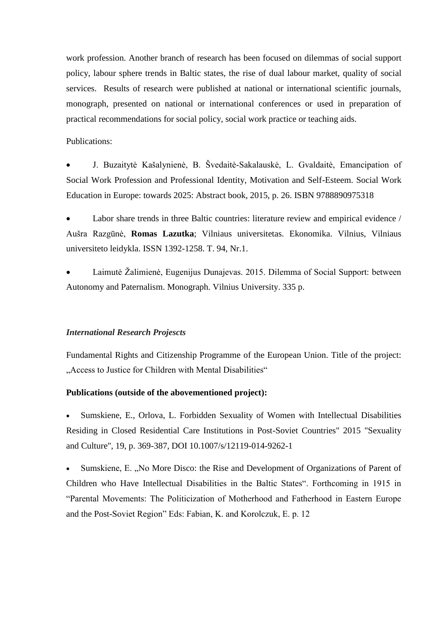work profession. Another branch of research has been focused on dilemmas of social support policy, labour sphere trends in Baltic states, the rise of dual labour market, quality of social services. Results of research were published at national or international scientific journals, monograph, presented on national or international conferences or used in preparation of practical recommendations for social policy, social work practice or teaching aids.

### Publications:

 J. Buzaitytė Kašalynienė, B. Švedaitė-Sakalauskė, L. Gvaldaitė, Emancipation of Social Work Profession and Professional Identity, Motivation and Self-Esteem. Social Work Education in Europe: towards 2025: Abstract book, 2015, p. 26. ISBN 9788890975318

 Labor share trends in three Baltic countries: literature review and empirical evidence / Aušra Razgūnė, **Romas Lazutka**; Vilniaus universitetas. Ekonomika. Vilnius, Vilniaus universiteto leidykla. ISSN 1392-1258. T. 94, Nr.1.

 Laimutė Žalimienė, Eugenijus Dunajevas. 2015. Dilemma of Social Support: between Autonomy and Paternalism. Monograph. Vilnius University. 335 p.

#### *International Research Projescts*

Fundamental Rights and Citizenship Programme of the European Union. Title of the project: "Access to Justice for Children with Mental Disabilities"

#### **Publications (outside of the abovementioned project):**

 Sumskiene, E., Orlova, L. Forbidden Sexuality of Women with Intellectual Disabilities Residing in Closed Residential Care Institutions in Post-Soviet Countries" 2015 "Sexuality and Culture", 19, p. 369-387, DOI 10.1007/s/12119-014-9262-1

Sumskiene, E. "No More Disco: the Rise and Development of Organizations of Parent of Children who Have Intellectual Disabilities in the Baltic States". Forthcoming in 1915 in "Parental Movements: The Politicization of Motherhood and Fatherhood in Eastern Europe and the Post-Soviet Region" Eds: Fabian, K. and Korolczuk, E. p. 12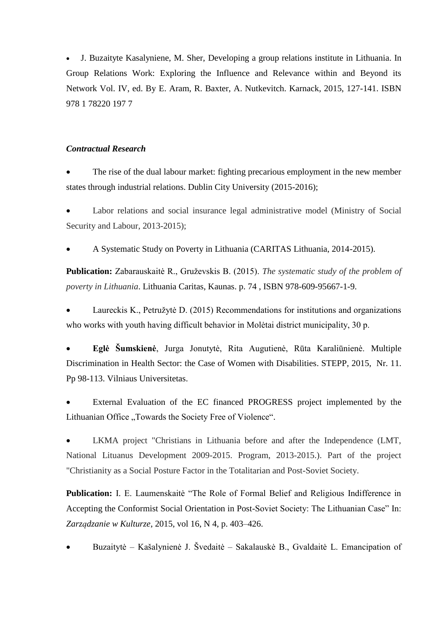J. Buzaityte Kasalyniene, M. Sher, Developing a group relations institute in Lithuania. In Group Relations Work: Exploring the Influence and Relevance within and Beyond its Network Vol. IV, ed. By E. Aram, R. Baxter, A. Nutkevitch. Karnack, 2015, 127-141. ISBN 978 1 78220 197 7

#### *Contractual Research*

 The rise of the dual labour market: fighting precarious employment in the new member states through industrial relations. Dublin City University (2015-2016);

 Labor relations and social insurance legal administrative model (Ministry of Social Security and Labour, 2013-2015);

A Systematic Study on Poverty in Lithuania (CARITAS Lithuania, 2014-2015).

**Publication:** Zabarauskaitė R., Gruževskis B. (2015). *The systematic study of the problem of poverty in Lithuania*. Lithuania Caritas, Kaunas. p. 74 , ISBN 978-609-95667-1-9.

 Laureckis K., Petružytė D. (2015) Recommendations for institutions and organizations who works with youth having difficult behavior in Molėtai district municipality, 30 p.

 **Eglė Šumskienė**, Jurga Jonutytė, Rita Augutienė, Rūta Karaliūnienė. Multiple Discrimination in Health Sector: the Case of Women with Disabilities. STEPP, 2015, Nr. 11. Pp 98-113. Vilniaus Universitetas.

 External Evaluation of the EC financed PROGRESS project implemented by the Lithuanian Office "Towards the Society Free of Violence".

 LKMA project "Christians in Lithuania before and after the Independence (LMT, National Lituanus Development 2009-2015. Program, 2013-2015.). Part of the project "Christianity as a Social Posture Factor in the Totalitarian and Post-Soviet Society.

**Publication:** I. E. Laumenskaitė "The Role of Formal Belief and Religious Indifference in Accepting the Conformist Social Orientation in Post-Soviet Society: The Lithuanian Case" In: *Zarządzanie w Kulturze*, 2015, vol 16, N 4, p. 403–426.

Buzaitytė – Kašalynienė J. Švedaitė – Sakalauskė B., Gvaldaitė L. Emancipation of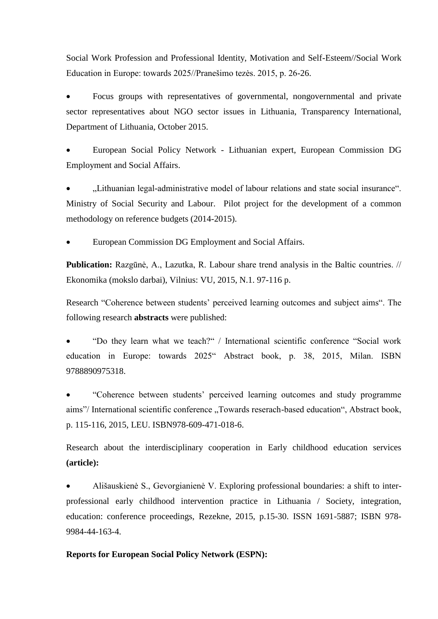Social Work Profession and Professional Identity, Motivation and Self-Esteem//Social Work Education in Europe: towards 2025//Pranešimo tezės. 2015, p. 26-26.

 Focus groups with representatives of governmental, nongovernmental and private sector representatives about NGO sector issues in Lithuania, Transparency International, Department of Lithuania, October 2015.

 European Social Policy Network - Lithuanian expert, European Commission DG Employment and Social Affairs.

 "Lithuanian legal-administrative model of labour relations and state social insurance". Ministry of Social Security and Labour. Pilot project for the development of a common methodology on reference budgets (2014-2015).

European Commission DG Employment and Social Affairs.

**Publication:** Razgūnė, A., Lazutka, R. Labour share trend analysis in the Baltic countries. // Ekonomika (mokslo darbai), Vilnius: VU, 2015, N.1. 97-116 p.

Research "Coherence between students' perceived learning outcomes and subject aims". The following research **abstracts** were published:

 "Do they learn what we teach?" / International scientific conference "Social work education in Europe: towards 2025" Abstract book, p. 38, 2015, Milan. ISBN 9788890975318.

 "Coherence between students' perceived learning outcomes and study programme aims"/International scientific conference "Towards reserach-based education", Abstract book, p. 115-116, 2015, LEU. ISBN978-609-471-018-6.

Research about the interdisciplinary cooperation in Early childhood education services **(article):**

 Ališauskienė S., Gevorgianienė V. Exploring professional boundaries: a shift to interprofessional early childhood intervention practice in Lithuania / Society, integration, education: conference proceedings, Rezekne, 2015, p.15-30. ISSN 1691-5887; ISBN 978- 9984-44-163-4.

#### **Reports for European Social Policy Network (ESPN):**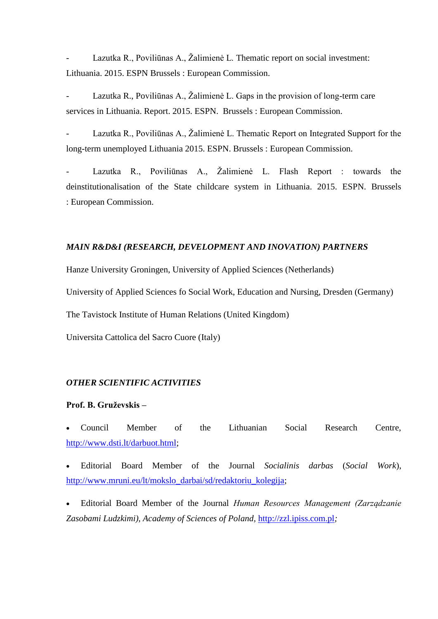Lazutka R., Poviliūnas A., Žalimienė L. Thematic report on social investment: Lithuania. 2015. ESPN Brussels : European Commission.

Lazutka R., Poviliūnas A., Žalimienė L. Gaps in the provision of long-term care services in Lithuania. Report. 2015. ESPN. Brussels : European Commission.

Lazutka R., Poviliūnas A., Žalimienė L. Thematic Report on Integrated Support for the long-term unemployed Lithuania 2015. ESPN. Brussels : European Commission.

- Lazutka R., Poviliūnas A., Žalimienė L. Flash Report : towards the deinstitutionalisation of the State childcare system in Lithuania. 2015. ESPN. Brussels : European Commission.

#### *MAIN R&D&I (RESEARCH, DEVELOPMENT AND INOVATION) PARTNERS*

Hanze University Groningen, University of Applied Sciences (Netherlands)

University of Applied Sciences fo Social Work, Education and Nursing, Dresden (Germany)

The Tavistock Institute of Human Relations (United Kingdom)

Universita Cattolica del Sacro Cuore (Italy)

### *OTHER SCIENTIFIC ACTIVITIES*

#### **Prof. B. Gruževskis –**

 Council Member of the Lithuanian Social Research Centre, [http://www.dsti.lt/darbuot.html;](http://www.dsti.lt/darbuot.html)

 Editorial Board Member of the Journal *Socialinis darbas* (*Social Work*), http://www.mruni.eu/lt/mokslo\_darbai/sd/redaktoriu\_kolegija;

 Editorial Board Member of the Journal *Human Resources Management (Zarządzanie Zasobami Ludzkimi), Academy of Sciences of Poland,* http://zzl.ipiss.com.pl*;*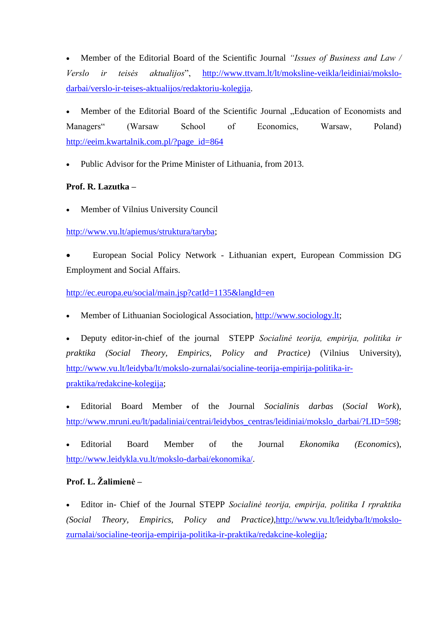Member of the Editorial Board of the Scientific Journal *"Issues of Business and Law / Verslo ir teisės aktualijos*", [http://www.ttvam.lt/lt/moksline-veikla/leidiniai/mokslo](http://www.ttvam.lt/lt/moksline-veikla/leidiniai/mokslo-darbai/verslo-ir-teises-aktualijos/redaktoriu-kolegija)[darbai/verslo-ir-teises-aktualijos/redaktoriu-kolegija.](http://www.ttvam.lt/lt/moksline-veikla/leidiniai/mokslo-darbai/verslo-ir-teises-aktualijos/redaktoriu-kolegija)

Member of the Editorial Board of the Scientific Journal . Education of Economists and Managers" (Warsaw School of Economics, Warsaw, Poland) [http://eeim.kwartalnik.com.pl/?page\\_id=864](http://eeim.kwartalnik.com.pl/?page_id=864)

Public Advisor for the Prime Minister of Lithuania, from 2013.

## **Prof. R. Lazutka –**

Member of Vilnius University Council

[http://www.vu.lt/apiemus/struktura/taryba;](http://www.vu.lt/apiemus/struktura/taryba)

 European Social Policy Network - Lithuanian expert, European Commission DG Employment and Social Affairs.

<http://ec.europa.eu/social/main.jsp?catId=1135&langId=en>

Member of Lithuanian Sociological Association, [http://www.sociology.lt;](http://www.sociology.lt/)

 Deputy editor-in-chief of the journal STEPP *Socialinė teorija, empirija, politika ir praktika (Social Theory, Empirics, Policy and Practice)* (Vilnius University), [http://www.vu.lt/leidyba/lt/mokslo-zurnalai/socialine-teorija-empirija-politika-ir](http://www.vu.lt/leidyba/lt/mokslo-zurnalai/socialine-teorija-empirija-politika-ir-praktika/redakcine-kolegija)[praktika/redakcine-kolegija;](http://www.vu.lt/leidyba/lt/mokslo-zurnalai/socialine-teorija-empirija-politika-ir-praktika/redakcine-kolegija)

 Editorial Board Member of the Journal *Socialinis darbas* (*Social Work*), [http://www.mruni.eu/lt/padaliniai/centrai/leidybos\\_centras/leidiniai/mokslo\\_darbai/?LID=598;](http://www.mruni.eu/lt/padaliniai/centrai/leidybos_centras/leidiniai/mokslo_darbai/?LID=598)

 Editorial Board Member of the Journal *Ekonomika (Economics*), [http://www.leidykla.vu.lt/mokslo-darbai/ekonomika/.](http://www.leidykla.vu.lt/mokslo-darbai/ekonomika/)

# **Prof. L. Žalimienė –**

 Editor in- Chief of the Journal STEPP *Socialinė teorija, empirija, politika I rpraktika (Social Theory, Empirics, Policy and Practice)*[,http://www.vu.lt/leidyba/lt/mokslo](http://www.vu.lt/leidyba/lt/mokslo-zurnalai/socialine-teorija-empirija-politika-ir-praktika/redakcine-kolegija)[zurnalai/socialine-teorija-empirija-politika-ir-praktika/redakcine-kolegija](http://www.vu.lt/leidyba/lt/mokslo-zurnalai/socialine-teorija-empirija-politika-ir-praktika/redakcine-kolegija)*;*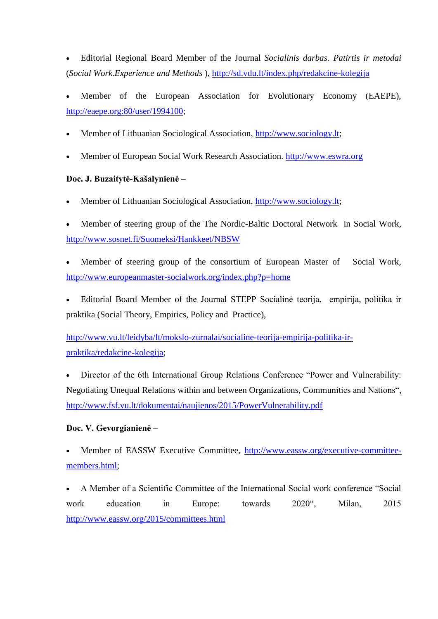Editorial Regional Board Member of the Journal *Socialinis darbas. Patirtis ir metodai*  (*Social Work.Experience and Methods* ), <http://sd.vdu.lt/index.php/redakcine-kolegija>

 Member of the European Association for Evolutionary Economy (EAEPE), [http://eaepe.org:80/user/1994100;](http://eaepe.org/user/1994100)

- Member of Lithuanian Sociological Association, [http://www.sociology.lt;](http://www.sociology.lt/)
- Member of European Social Work Research Association. [http://www.eswra.org](http://www.eswra.org/)

# **Doc. J. Buzaitytė-Kašalynienė –**

- Member of Lithuanian Sociological Association, [http://www.sociology.lt;](http://www.sociology.lt/)
- Member of steering group of the The Nordic-Baltic Doctoral Network in Social Work, <http://www.sosnet.fi/Suomeksi/Hankkeet/NBSW>
- Member of steering group of the consortium of European Master of Social Work, <http://www.europeanmaster-socialwork.org/index.php?p=home>
- Editorial Board Member of the Journal STEPP Socialinė teorija, empirija, politika ir praktika (Social Theory, Empirics, Policy and Practice),

[http://www.vu.lt/leidyba/lt/mokslo-zurnalai/socialine-teorija-empirija-politika-ir](http://www.vu.lt/leidyba/lt/mokslo-zurnalai/socialine-teorija-empirija-politika-ir-praktika/redakcine-kolegija)[praktika/redakcine-kolegija;](http://www.vu.lt/leidyba/lt/mokslo-zurnalai/socialine-teorija-empirija-politika-ir-praktika/redakcine-kolegija)

 Director of the 6th International Group Relations Conference "Power and Vulnerability: Negotiating Unequal Relations within and between Organizations, Communities and Nations", <http://www.fsf.vu.lt/dokumentai/naujienos/2015/PowerVulnerability.pdf>

## **Doc. V. Gevorgianienė –**

 Member of EASSW Executive Committee, [http://www.eassw.org/executive-committee](http://www.eassw.org/executive-committee-members.html)[members.html;](http://www.eassw.org/executive-committee-members.html)

 A Member of a Scientific Committee of the International Social work conference "Social work education in Europe: towards 2020", Milan, 2015 <http://www.eassw.org/2015/committees.html>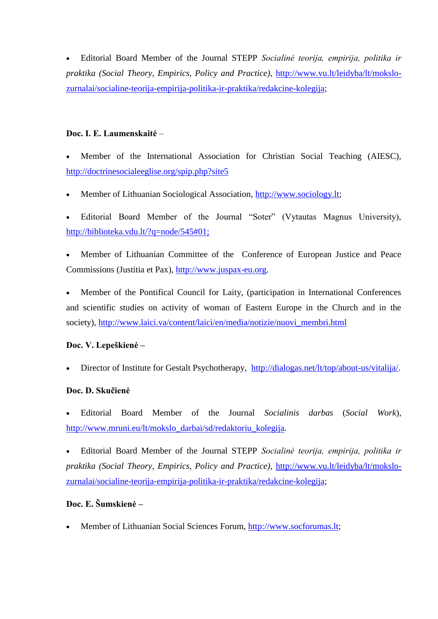Editorial Board Member of the Journal STEPP *Socialinė teorija, empirija, politika ir praktika (Social Theory, Empirics, Policy and Practice)*, [http://www.vu.lt/leidyba/lt/mokslo](http://www.vu.lt/leidyba/lt/mokslo-zurnalai/socialine-teorija-empirija-politika-ir-praktika/redakcine-kolegija)[zurnalai/socialine-teorija-empirija-politika-ir-praktika/redakcine-kolegija;](http://www.vu.lt/leidyba/lt/mokslo-zurnalai/socialine-teorija-empirija-politika-ir-praktika/redakcine-kolegija)

## **Doc. I. E. Laumenskaitė** –

 Member of the International Association for Christian Social Teaching (AIESC), <http://doctrinesocialeeglise.org/spip.php?site5>

Member of Lithuanian Sociological Association, [http://www.sociology.lt;](http://www.sociology.lt/)

 Editorial Board Member of the Journal "Soter" (Vytautas Magnus University), http://biblioteka.vdu.lt/?q=node/545#01;

 Member of Lithuanian Committee of the Conference of European Justice and Peace Commissions (Justitia et Pax), [http://www.juspax-eu.org.](http://www.juspax-eu.org/)

 Member of the Pontifical Council for Laity, (participation in International Conferences and scientific studies on activity of woman of Eastern Europe in the Church and in the society), [http://www.laici.va/content/laici/en/media/notizie/nuovi\\_membri.html](http://www.laici.va/content/laici/en/media/notizie/nuovi_membri.html)

## **Doc. V. Lepeškienė –**

Director of Institute for Gestalt Psychotherapy, [http://dialogas.net/lt/top/about-us/vitalija/.](http://dialogas.net/lt/top/about-us/vitalija/)

## **Doc. D. Skučienė**

 Editorial Board Member of the Journal *Socialinis darbas* (*Social Work*), [http://www.mruni.eu/lt/mokslo\\_darbai/sd/redaktoriu\\_kolegija.](http://www.mruni.eu/lt/mokslo_darbai/sd/redaktoriu_kolegija)

 Editorial Board Member of the Journal STEPP *Socialinė teorija, empirija, politika ir praktika (Social Theory, Empirics, Policy and Practice)*, [http://www.vu.lt/leidyba/lt/mokslo](http://www.vu.lt/leidyba/lt/mokslo-zurnalai/socialine-teorija-empirija-politika-ir-praktika/redakcine-kolegija)[zurnalai/socialine-teorija-empirija-politika-ir-praktika/redakcine-kolegija;](http://www.vu.lt/leidyba/lt/mokslo-zurnalai/socialine-teorija-empirija-politika-ir-praktika/redakcine-kolegija)

# **Doc. E. Šumskienė –**

Member of Lithuanian Social Sciences Forum, [http://www.socforumas.lt;](http://www.socforumas.lt/)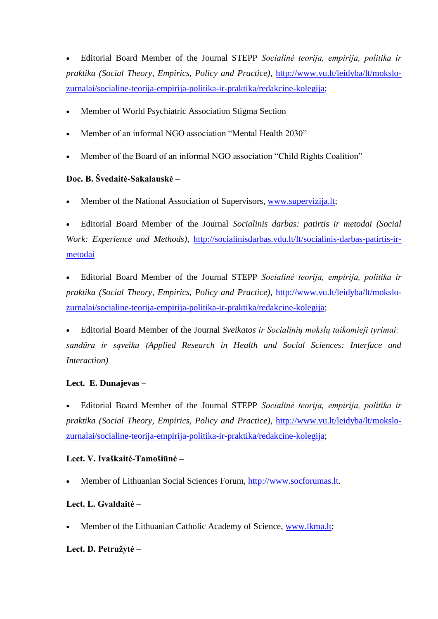Editorial Board Member of the Journal STEPP *Socialinė teorija, empirija, politika ir praktika (Social Theory, Empirics, Policy and Practice)*, [http://www.vu.lt/leidyba/lt/mokslo](http://www.vu.lt/leidyba/lt/mokslo-zurnalai/socialine-teorija-empirija-politika-ir-praktika/redakcine-kolegija)[zurnalai/socialine-teorija-empirija-politika-ir-praktika/redakcine-kolegija;](http://www.vu.lt/leidyba/lt/mokslo-zurnalai/socialine-teorija-empirija-politika-ir-praktika/redakcine-kolegija)

- Member of World Psychiatric Association Stigma Section
- Member of an informal NGO association "Mental Health 2030"
- Member of the Board of an informal NGO association "Child Rights Coalition"

# **Doc. B. Švedaitė-Sakalauskė –**

Member of the National Association of Supervisors, [www.supervizija.lt;](http://www.supervizija.lt/)

 Editorial Board Member of the Journal *Socialinis darbas: patirtis ir metodai (Social Work: Experience and Methods)*, [http://socialinisdarbas.vdu.lt/lt/socialinis-darbas-patirtis-ir](http://socialinisdarbas.vdu.lt/lt/socialinis-darbas-patirtis-ir-metodai)[metodai](http://socialinisdarbas.vdu.lt/lt/socialinis-darbas-patirtis-ir-metodai)

 Editorial Board Member of the Journal STEPP *Socialinė teorija, empirija, politika ir praktika (Social Theory, Empirics, Policy and Practice),* [http://www.vu.lt/leidyba/lt/mokslo](http://www.vu.lt/leidyba/lt/mokslo-zurnalai/socialine-teorija-empirija-politika-ir-praktika/redakcine-kolegija)[zurnalai/socialine-teorija-empirija-politika-ir-praktika/redakcine-kolegija;](http://www.vu.lt/leidyba/lt/mokslo-zurnalai/socialine-teorija-empirija-politika-ir-praktika/redakcine-kolegija)

 Editorial Board Member of the Journal *Sveikatos ir Socialinių mokslų taikomieji tyrimai: sandūra ir sąveika (Applied Research in Health and Social Sciences: Interface and Interaction)*

## **Lect. E. Dunajevas –**

 Editorial Board Member of the Journal STEPP *Socialinė teorija, empirija, politika ir praktika (Social Theory, Empirics, Policy and Practice)*, [http://www.vu.lt/leidyba/lt/mokslo](http://www.vu.lt/leidyba/lt/mokslo-zurnalai/socialine-teorija-empirija-politika-ir-praktika/redakcine-kolegija)[zurnalai/socialine-teorija-empirija-politika-ir-praktika/redakcine-kolegija;](http://www.vu.lt/leidyba/lt/mokslo-zurnalai/socialine-teorija-empirija-politika-ir-praktika/redakcine-kolegija)

## **Lect. V. Ivaškaitė-Tamošiūnė –**

Member of Lithuanian Social Sciences Forum, [http://www.socforumas.lt.](http://www.socforumas.lt/)

# **Lect. L. Gvaldaitė –**

Member of the Lithuanian Catholic Academy of Science, [www.lkma.lt;](http://www.lkma.lt/)

# **Lect. D. Petružytė –**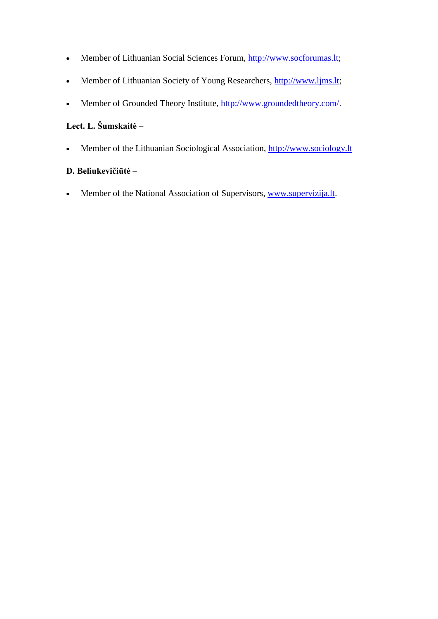- Member of Lithuanian Social Sciences Forum, [http://www.socforumas.lt;](http://www.socforumas.lt/)
- Member of Lithuanian Society of Young Researchers, [http://www.ljms.lt;](http://www.ljms.lt/)
- Member of Grounded Theory Institute, [http://www.groundedtheory.com/.](http://www.groundedtheory.com/)

# **Lect. L. Šumskaitė –**

Member of the Lithuanian Sociological Association, [http://www.sociology.lt](http://www.sociology.lt/)

# **D. Beliukevičiūtė –**

• Member of the National Association of Supervisors, [www.supervizija.lt.](http://www.supervizija.lt/)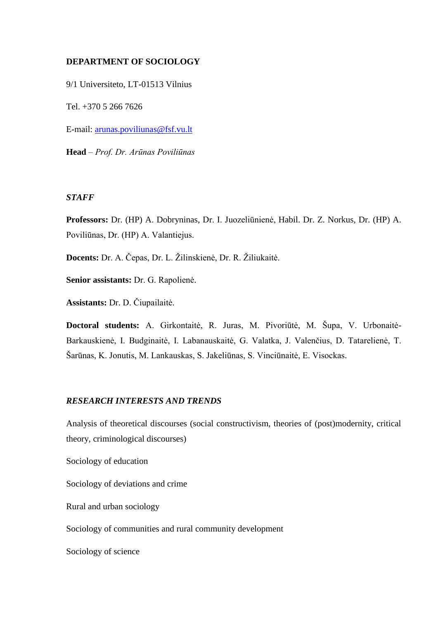#### **DEPARTMENT OF SOCIOLOGY**

9/1 Universiteto, LT-01513 Vilnius

Tel. +370 5 266 7626

E-mail: [arunas.poviliunas@fsf.vu.lt](mailto:arunas.poviliunas@fsf.vu.lt)

**Head** – *Prof. Dr. Arūnas Poviliūnas*

#### *STAFF*

**Professors:** Dr. (HP) A. Dobryninas, Dr. I. Juozeliūnienė, Habil. Dr. Z. Norkus, Dr. (HP) A. Poviliūnas, Dr. (HP) A. Valantiejus.

**Docents:** Dr. A. Čepas, Dr. L. Žilinskienė, Dr. R. Žiliukaitė.

**Senior assistants:** Dr. G. Rapolienė.

**Assistants:** Dr. D. Čiupailaitė.

**Doctoral students:** A. Girkontaitė, R. Juras, M. Pivoriūtė, M. Šupa, V. Urbonaitė-Barkauskienė, I. Budginaitė, I. Labanauskaitė, G. Valatka, J. Valenčius, D. Tatarelienė, T. Šarūnas, K. Jonutis, M. Lankauskas, S. Jakeliūnas, S. Vinciūnaitė, E. Visockas.

#### *RESEARCH INTERESTS AND TRENDS*

Analysis of theoretical discourses (social constructivism, theories of (post)modernity, critical theory, criminological discourses)

Sociology of education

Sociology of deviations and crime

Rural and urban sociology

Sociology of communities and rural community development

Sociology of science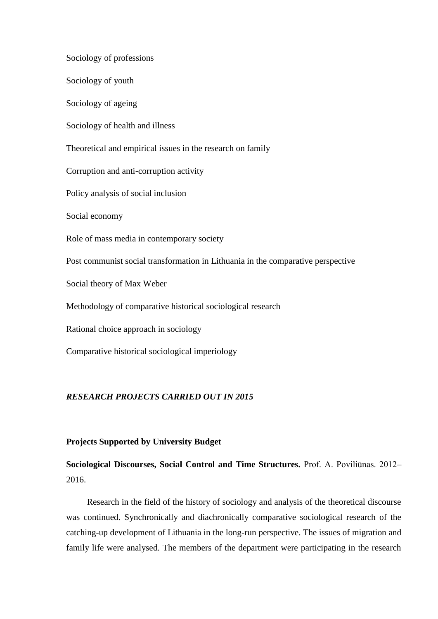Sociology of professions Sociology of youth Sociology of ageing Sociology of health and illness Theoretical and empirical issues in the research on family Corruption and anti-corruption activity Policy analysis of social inclusion Social economy Role of mass media in contemporary society Post communist social transformation in Lithuania in the comparative perspective Social theory of Max Weber Methodology of comparative historical sociological research Rational choice approach in sociology Comparative historical sociological imperiology

#### *RESEARCH PROJECTS CARRIED OUT IN 2015*

#### **Projects Supported by University Budget**

**Sociological Discourses, Social Control and Time Structures.** Prof. A. Poviliūnas. 2012– 2016.

Research in the field of the history of sociology and analysis of the theoretical discourse was continued. Synchronically and diachronically comparative sociological research of the catching-up development of Lithuania in the long-run perspective. The issues of migration and family life were analysed. The members of the department were participating in the research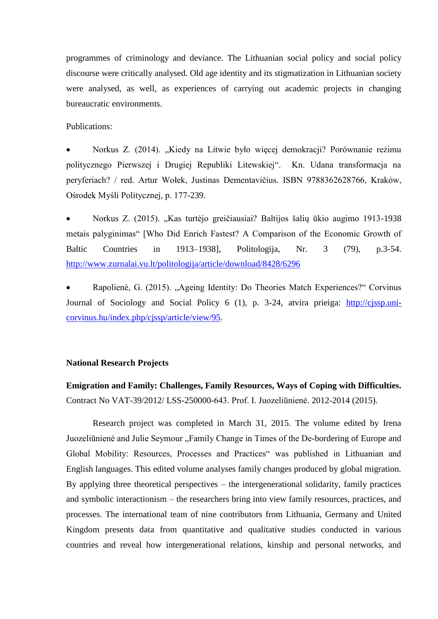programmes of criminology and deviance. The Lithuanian social policy and social policy discourse were critically analysed. Old age identity and its stigmatization in Lithuanian society were analysed, as well, as experiences of carrying out academic projects in changing bureaucratic environments.

Publications:

Norkus Z. (2014). "Kiedy na Litwie było więcej demokracji? Porównanie reżimu politycznego Pierwszej i Drugiej Republiki Litewskiej". Kn. Udana transformacja na peryferiach? / red. Artur Wołek, Justinas Dementavičius. ISBN 9788362628766, Kraków, Ośrodek Myśli Politycznej, p. 177-239.

 Norkus Z. (2015). "Kas turtėjo greičiausiai? Baltijos šalių ūkio augimo 1913-1938 metais palyginimas" [Who Did Enrich Fastest? A Comparison of the Economic Growth of Baltic Countries in 1913–1938], Politologija, Nr. 3 (79), p.3-54. <http://www.zurnalai.vu.lt/politologija/article/download/8428/6296>

Rapolienė, G. (2015). "Ageing Identity: Do Theories Match Experiences?" Corvinus Journal of Sociology and Social Policy 6 (1), p. 3-24, atvira prieiga: [http://cjssp.uni](http://cjssp.uni-corvinus.hu/index.php/cjssp/article/view/95)[corvinus.hu/index.php/cjssp/article/view/95.](http://cjssp.uni-corvinus.hu/index.php/cjssp/article/view/95)

#### **National Research Projects**

**Emigration and Family: Challenges, Family Resources, Ways of Coping with Difficulties.**  Contract No VAT-39/2012/ LSS-250000-643. Prof. I. Juozeliūnienė. 2012-2014 (2015).

Research project was completed in March 31, 2015. The volume edited by Irena Juozeliūnienė and Julie Seymour "Family Change in Times of the De-bordering of Europe and Global Mobility: Resources, Processes and Practices" was published in Lithuanian and English languages. This edited volume analyses family changes produced by global migration. By applying three theoretical perspectives – the intergenerational solidarity, family practices and symbolic interactionism – the researchers bring into view family resources, practices, and processes. The international team of nine contributors from Lithuania, Germany and United Kingdom presents data from quantitative and qualitative studies conducted in various countries and reveal how intergenerational relations, kinship and personal networks, and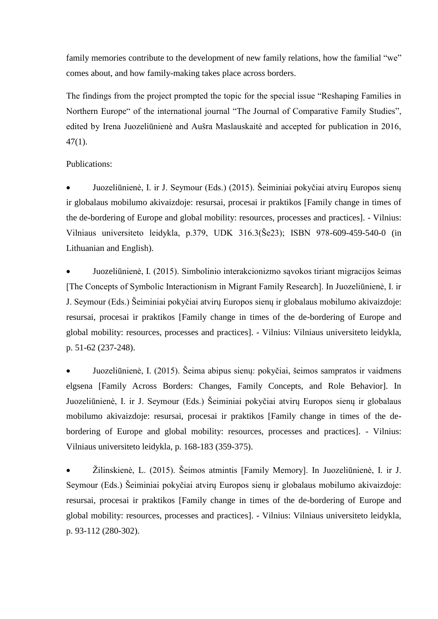family memories contribute to the development of new family relations, how the familial "we" comes about, and how family-making takes place across borders.

The findings from the project prompted the topic for the special issue "Reshaping Families in Northern Europe" of the international journal "The Journal of Comparative Family Studies", edited by Irena Juozeliūnienė and Aušra Maslauskaitė and accepted for publication in 2016, 47(1).

Publications:

 Juozeliūnienė, I. ir J. Seymour (Eds.) (2015). Šeiminiai pokyčiai atvirų Europos sienų ir globalaus mobilumo akivaizdoje: resursai, procesai ir praktikos [Family change in times of the de-bordering of Europe and global mobility: resources, processes and practices]. - Vilnius: Vilniaus universiteto leidykla, p.379, UDK 316.3(Še23); ISBN 978-609-459-540-0 (in Lithuanian and English).

 Juozeliūnienė, I. (2015). Simbolinio interakcionizmo sąvokos tiriant migracijos šeimas [The Concepts of Symbolic Interactionism in Migrant Family Research]. In Juozeliūnienė, I. ir J. Seymour (Eds.) Šeiminiai pokyčiai atvirų Europos sienų ir globalaus mobilumo akivaizdoje: resursai, procesai ir praktikos [Family change in times of the de-bordering of Europe and global mobility: resources, processes and practices]. - Vilnius: Vilniaus universiteto leidykla, p. 51-62 (237-248).

 Juozeliūnienė, I. (2015). Šeima abipus sienų: pokyčiai, šeimos sampratos ir vaidmens elgsena [Family Across Borders: Changes, Family Concepts, and Role Behavior]. In Juozeliūnienė, I. ir J. Seymour (Eds.) Šeiminiai pokyčiai atvirų Europos sienų ir globalaus mobilumo akivaizdoje: resursai, procesai ir praktikos [Family change in times of the debordering of Europe and global mobility: resources, processes and practices]. - Vilnius: Vilniaus universiteto leidykla, p. 168-183 (359-375).

 Žilinskienė, L. (2015). Šeimos atmintis [Family Memory]. In Juozeliūnienė, I. ir J. Seymour (Eds.) Šeiminiai pokyčiai atvirų Europos sienų ir globalaus mobilumo akivaizdoje: resursai, procesai ir praktikos [Family change in times of the de-bordering of Europe and global mobility: resources, processes and practices]. - Vilnius: Vilniaus universiteto leidykla, p. 93-112 (280-302).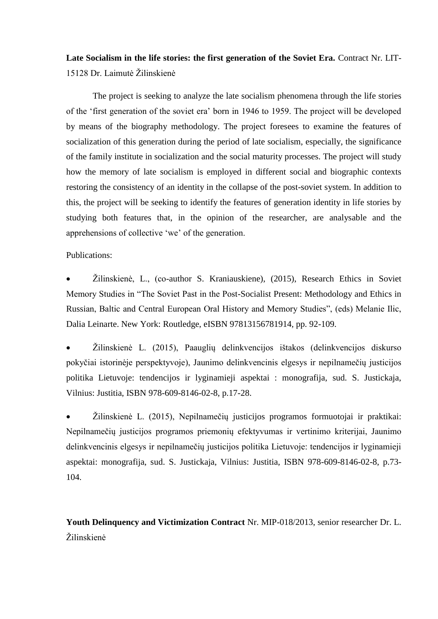**Late Socialism in the life stories: the first generation of the Soviet Era.** Contract Nr. LIT-15128 Dr. Laimutė Žilinskienė

The project is seeking to analyze the late socialism phenomena through the life stories of the 'first generation of the soviet era' born in 1946 to 1959. The project will be developed by means of the biography methodology. The project foresees to examine the features of socialization of this generation during the period of late socialism, especially, the significance of the family institute in socialization and the social maturity processes. The project will study how the memory of late socialism is employed in different social and biographic contexts restoring the consistency of an identity in the collapse of the post-soviet system. In addition to this, the project will be seeking to identify the features of generation identity in life stories by studying both features that, in the opinion of the researcher, are analysable and the apprehensions of collective 'we' of the generation.

Publications:

 Žilinskienė, L., (co-author S. Kraniauskiene), (2015), Research Ethics in Soviet Memory Studies in "The Soviet Past in the Post-Socialist Present: Methodology and Ethics in Russian, Baltic and Central European Oral History and Memory Studies", (eds) Melanie Ilic, Dalia Leinarte. New York: Routledge, eISBN 97813156781914, pp. 92-109.

 Žilinskienė L. (2015), Paauglių delinkvencijos ištakos (delinkvencijos diskurso pokyčiai istorinėje perspektyvoje), Jaunimo delinkvencinis elgesys ir nepilnamečių justicijos politika Lietuvoje: tendencijos ir lyginamieji aspektai : monografija, sud. S. Justickaja, Vilnius: Justitia, ISBN 978-609-8146-02-8, p.17-28.

 Žilinskienė L. (2015), Nepilnamečių justicijos programos formuotojai ir praktikai: Nepilnamečių justicijos programos priemonių efektyvumas ir vertinimo kriterijai, Jaunimo delinkvencinis elgesys ir nepilnamečių justicijos politika Lietuvoje: tendencijos ir lyginamieji aspektai: monografija, sud. S. Justickaja, Vilnius: Justitia, ISBN 978-609-8146-02-8, p.73- 104.

**Youth Delinquency and Victimization Contract** Nr. MIP-018/2013, senior researcher Dr. L. Žilinskienė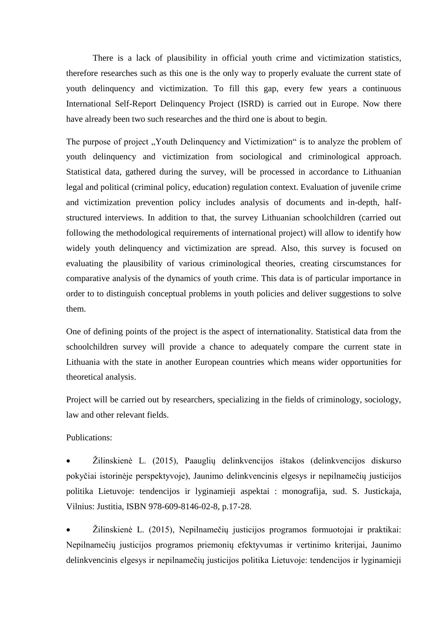There is a lack of plausibility in official youth crime and victimization statistics, therefore researches such as this one is the only way to properly evaluate the current state of youth delinquency and victimization. To fill this gap, every few years a continuous International Self-Report Delinquency Project (ISRD) is carried out in Europe. Now there have already been two such researches and the third one is about to begin.

The purpose of project "Youth Delinquency and Victimization" is to analyze the problem of youth delinquency and victimization from sociological and criminological approach. Statistical data, gathered during the survey, will be processed in accordance to Lithuanian legal and political (criminal policy, education) regulation context. Evaluation of juvenile crime and victimization prevention policy includes analysis of documents and in-depth, halfstructured interviews. In addition to that, the survey Lithuanian schoolchildren (carried out following the methodological requirements of international project) will allow to identify how widely youth delinquency and victimization are spread. Also, this survey is focused on evaluating the plausibility of various criminological theories, creating cirscumstances for comparative analysis of the dynamics of youth crime. This data is of particular importance in order to to distinguish conceptual problems in youth policies and deliver suggestions to solve them.

One of defining points of the project is the aspect of internationality. Statistical data from the schoolchildren survey will provide a chance to adequately compare the current state in Lithuania with the state in another European countries which means wider opportunities for theoretical analysis.

Project will be carried out by researchers, specializing in the fields of criminology, sociology, law and other relevant fields.

#### Publications:

 Žilinskienė L. (2015), Paauglių delinkvencijos ištakos (delinkvencijos diskurso pokyčiai istorinėje perspektyvoje), Jaunimo delinkvencinis elgesys ir nepilnamečių justicijos politika Lietuvoje: tendencijos ir lyginamieji aspektai : monografija, sud. S. Justickaja, Vilnius: Justitia, ISBN 978-609-8146-02-8, p.17-28.

 Žilinskienė L. (2015), Nepilnamečių justicijos programos formuotojai ir praktikai: Nepilnamečių justicijos programos priemonių efektyvumas ir vertinimo kriterijai, Jaunimo delinkvencinis elgesys ir nepilnamečių justicijos politika Lietuvoje: tendencijos ir lyginamieji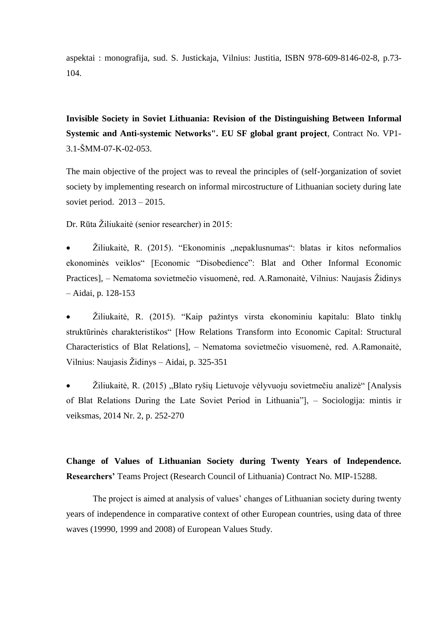aspektai : monografija, sud. S. Justickaja, Vilnius: Justitia, ISBN 978-609-8146-02-8, p.73- 104.

**Invisible Society in Soviet Lithuania: Revision of the Distinguishing Between Informal Systemic and Anti-systemic Networks". EU SF global grant project**, Contract No. VP1- 3.1-ŠMM-07-K-02-053.

The main objective of the project was to reveal the principles of (self-)organization of soviet society by implementing research on informal mircostructure of Lithuanian society during late soviet period. 2013 – 2015.

Dr. Rūta Žiliukaitė (senior researcher) in 2015:

Žiliukaitė, R. (2015). "Ekonominis "nepaklusnumas": blatas ir kitos neformalios ekonominės veiklos" [Economic "Disobedience": Blat and Other Informal Economic Practices], – Nematoma sovietmečio visuomenė, red. A.Ramonaitė, Vilnius: Naujasis Židinys – Aidai, p. 128-153

 Žiliukaitė, R. (2015). "Kaip pažintys virsta ekonominiu kapitalu: Blato tinklų struktūrinės charakteristikos" [How Relations Transform into Economic Capital: Structural Characteristics of Blat Relations], – Nematoma sovietmečio visuomenė, red. A.Ramonaitė, Vilnius: Naujasis Židinys – Aidai, p. 325-351

Žiliukaitė, R. (2015), Blato ryšių Lietuvoje vėlyvuoju sovietmečiu analizė" [Analysis of Blat Relations During the Late Soviet Period in Lithuania"], – Sociologija: mintis ir veiksmas, 2014 Nr. 2, p. 252-270

**Change of Values of Lithuanian Society during Twenty Years of Independence. Researchers'** Teams Project (Research Council of Lithuania) Contract No. MIP-15288.

The project is aimed at analysis of values' changes of Lithuanian society during twenty years of independence in comparative context of other European countries, using data of three waves (19990, 1999 and 2008) of European Values Study.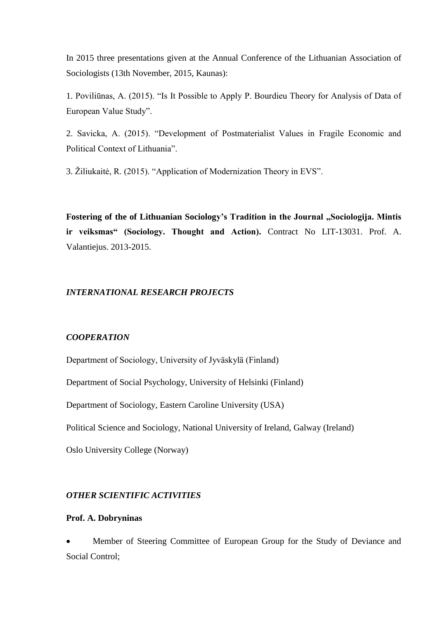In 2015 three presentations given at the Annual Conference of the Lithuanian Association of Sociologists (13th November, 2015, Kaunas):

1. Poviliūnas, A. (2015). "Is It Possible to Apply P. Bourdieu Theory for Analysis of Data of European Value Study".

2. Savicka, A. (2015). "Development of Postmaterialist Values in Fragile Economic and Political Context of Lithuania".

3. Žiliukaitė, R. (2015). "Application of Modernization Theory in EVS".

Fostering of the of Lithuanian Sociology's Tradition in the Journal "Sociologija. Mintis **ir veiksmas" (Sociology. Thought and Action).** Contract No LIT-13031. Prof. A. Valantiejus. 2013-2015.

#### *INTERNATIONAL RESEARCH PROJECTS*

#### *COOPERATION*

Department of Sociology, University of Jyväskylä (Finland)

Department of Social Psychology, University of Helsinki (Finland)

Department of Sociology, Eastern Caroline University (USA)

Political Science and Sociology, National University of Ireland, Galway (Ireland)

Oslo University College (Norway)

#### *OTHER SCIENTIFIC ACTIVITIES*

#### **Prof. A. Dobryninas**

 Member of Steering Committee of European Group for the Study of Deviance and Social Control;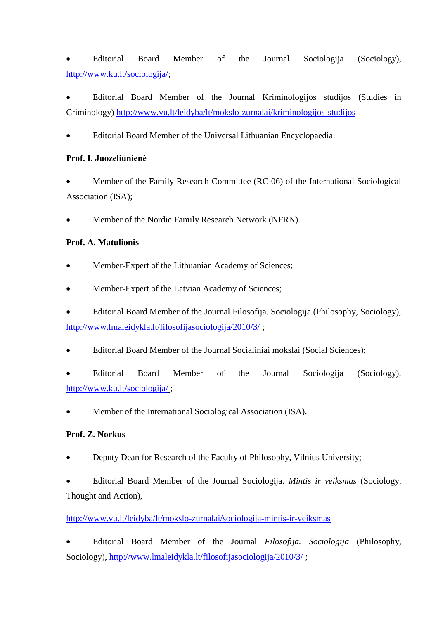Editorial Board Member of the Journal Sociologija (Sociology), [http://www.ku.lt/sociologija/;](http://www.ku.lt/sociologija/)

 Editorial Board Member of the Journal Kriminologijos studijos (Studies in Criminology)<http://www.vu.lt/leidyba/lt/mokslo-zurnalai/kriminologijos-studijos>

Editorial Board Member of the Universal Lithuanian Encyclopaedia.

# **Prof. I. Juozeliūnienė**

 Member of the Family Research Committee (RC 06) of the International Sociological Association (ISA);

Member of the Nordic Family Research Network (NFRN).

# **Prof. A. Matulionis**

- Member-Expert of the Lithuanian Academy of Sciences;
- Member-Expert of the Latvian Academy of Sciences;
- Editorial Board Member of the Journal Filosofija. Sociologija (Philosophy, Sociology), <http://www.lmaleidykla.lt/filosofijasociologija/2010/3/> ;
- Editorial Board Member of the Journal Socialiniai mokslai (Social Sciences);
- Editorial Board Member of the Journal Sociologija (Sociology), <http://www.ku.lt/sociologija/> ;
- Member of the International Sociological Association (ISA).

# **Prof. Z. Norkus**

Deputy Dean for Research of the Faculty of Philosophy, Vilnius University;

 Editorial Board Member of the Journal Sociologija. *Mintis ir veiksmas* (Sociology. Thought and Action),

# <http://www.vu.lt/leidyba/lt/mokslo-zurnalai/sociologija-mintis-ir-veiksmas>

 Editorial Board Member of the Journal *Filosofija. Sociologija* (Philosophy, Sociology),<http://www.lmaleidykla.lt/filosofijasociologija/2010/3/> ;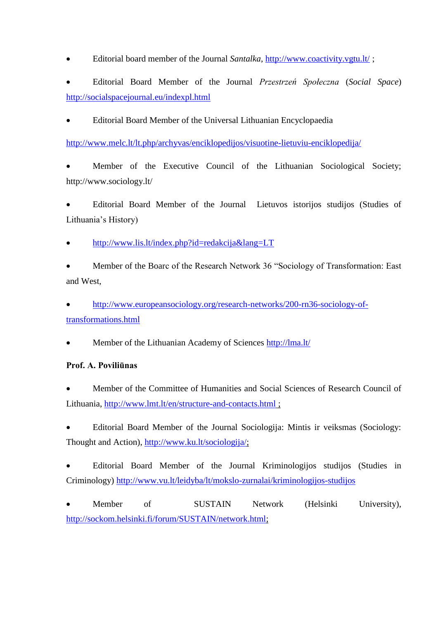Editorial board member of the Journal *Santalka*,<http://www.coactivity.vgtu.lt/> ;

 Editorial Board Member of the Journal *Przestrzeń Społeczna* (*Social Space*) <http://socialspacejournal.eu/indexpl.html>

Editorial Board Member of the Universal Lithuanian Encyclopaedia

<http://www.melc.lt/lt.php/archyvas/enciklopedijos/visuotine-lietuviu-enciklopedija/>

 Member of the Executive Council of the Lithuanian Sociological Society; http://www.sociology.lt/

 Editorial Board Member of the Journal Lietuvos istorijos studijos (Studies of Lithuania's History)

<http://www.lis.lt/index.php?id=redakcija&lang=LT>

 Member of the Boarc of the Research Network 36 "Sociology of Transformation: East and West,

 [http://www.europeansociology.org/research-networks/200-rn36-sociology-of](http://www.europeansociology.org/research-networks/200-rn36-sociology-of-transformations.html)[transformations.html](http://www.europeansociology.org/research-networks/200-rn36-sociology-of-transformations.html)

Member of the Lithuanian Academy of Sciences<http://lma.lt/>

# **Prof. A. Poviliūnas**

 Member of the Committee of Humanities and Social Sciences of Research Council of Lithuania,<http://www.lmt.lt/en/structure-and-contacts.html> ;

 Editorial Board Member of the Journal Sociologija: Mintis ir veiksmas (Sociology: Thought and Action), [http://www.ku.lt/sociologija/;](http://www.ku.lt/sociologija/)

 Editorial Board Member of the Journal Kriminologijos studijos (Studies in Criminology)<http://www.vu.lt/leidyba/lt/mokslo-zurnalai/kriminologijos-studijos>

 Member of SUSTAIN Network (Helsinki University), [http://sockom.helsinki.fi/forum/SUSTAIN/network.html;](http://sockom.helsinki.fi/forum/SUSTAIN/network.html)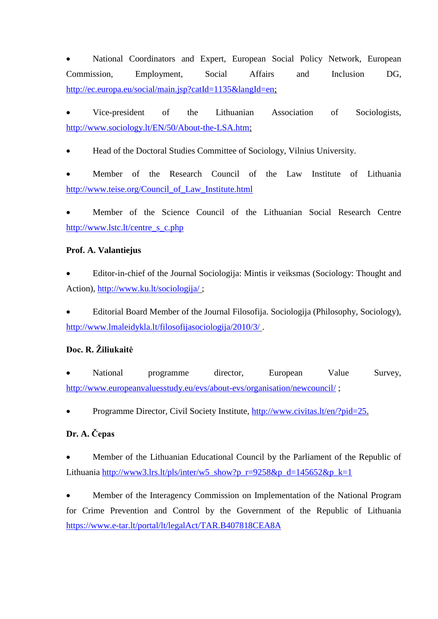National Coordinators and Expert, European Social Policy Network, European Commission, Employment, Social Affairs and Inclusion DG, [http://ec.europa.eu/social/main.jsp?catId=1135&langId=en;](http://ec.europa.eu/social/main.jsp?catId=1135&langId=en)

 Vice-president of the Lithuanian Association of Sociologists, [http://www.sociology.lt/EN/50/About-the-LSA.htm;](http://www.sociology.lt/EN/50/About-the-LSA.htm)

Head of the Doctoral Studies Committee of Sociology, Vilnius University.

 Member of the Research Council of the Law Institute of Lithuania [http://www.teise.org/Council\\_of\\_Law\\_Institute.html](http://www.teise.org/Council_of_Law_Institute.html)

 Member of the Science Council of the Lithuanian Social Research Centre [http://www.lstc.lt/centre\\_s\\_c.php](http://www.lstc.lt/centre_s_c.php)

# **Prof. A. Valantiejus**

 Editor-in-chief of the Journal Sociologija: Mintis ir veiksmas (Sociology: Thought and Action),<http://www.ku.lt/sociologija/> ;

 Editorial Board Member of the Journal Filosofija. Sociologija (Philosophy, Sociology), <http://www.lmaleidykla.lt/filosofijasociologija/2010/3/> .

# **Doc. R. Žiliukaitė**

 National programme director, European Value Survey, <http://www.europeanvaluesstudy.eu/evs/about-evs/organisation/newcouncil/> ;

Programme Director, Civil Society Institute, [http://www.civitas.lt/en/?pid=25.](http://www.civitas.lt/en/?pid=25)

# **Dr. A. Čepas**

 Member of the Lithuanian Educational Council by the Parliament of the Republic of Lithuania [http://www3.lrs.lt/pls/inter/w5\\_show?p\\_r=9258&p\\_d=145652&p\\_k=1](http://www3.lrs.lt/pls/inter/w5_show?p_r=9258&p_d=145652&p_k=1)

 Member of the Interagency Commission on Implementation of the National Program for Crime Prevention and Control by the Government of the Republic of Lithuania <https://www.e-tar.lt/portal/lt/legalAct/TAR.B407818CEA8A>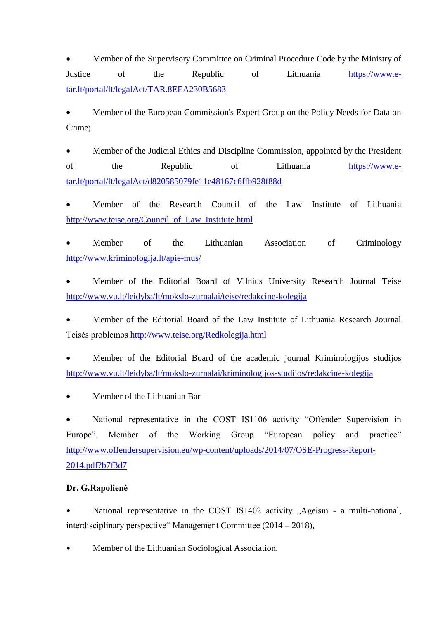Member of the Supervisory Committee on Criminal Procedure Code by the Ministry of Justice of the Republic of Lithuania [https://www.e](https://www.e-tar.lt/portal/lt/legalAct/TAR.8EEA230B5683)[tar.lt/portal/lt/legalAct/TAR.8EEA230B5683](https://www.e-tar.lt/portal/lt/legalAct/TAR.8EEA230B5683)

 Member of the European Commission's Expert Group on the Policy Needs for Data on Crime;

 Member of the Judicial Ethics and Discipline Commission, appointed by the President of the Republic of Lithuania [https://www.e](https://www.e-tar.lt/portal/lt/legalAct/d820585079fe11e48167c6ffb928f88d)[tar.lt/portal/lt/legalAct/d820585079fe11e48167c6ffb928f88d](https://www.e-tar.lt/portal/lt/legalAct/d820585079fe11e48167c6ffb928f88d)

 Member of the Research Council of the Law Institute of Lithuania [http://www.teise.org/Council\\_of\\_Law\\_Institute.html](http://www.teise.org/Council_of_Law_Institute.html)

 Member of the Lithuanian Association of Criminology <http://www.kriminologija.lt/apie-mus/>

 Member of the Editorial Board of Vilnius University Research Journal Teise <http://www.vu.lt/leidyba/lt/mokslo-zurnalai/teise/redakcine-kolegija>

 Member of the Editorial Board of the Law Institute of Lithuania Research Journal Teisės problemos<http://www.teise.org/Redkolegija.html>

 Member of the Editorial Board of the academic journal Kriminologijos studijos <http://www.vu.lt/leidyba/lt/mokslo-zurnalai/kriminologijos-studijos/redakcine-kolegija>

Member of the Lithuanian Bar

 National representative in the COST IS1106 activity "Offender Supervision in Europe". Member of the Working Group "European policy and practice" [http://www.offendersupervision.eu/wp-content/uploads/2014/07/OSE-Progress-Report-](http://www.offendersupervision.eu/wp-content/uploads/2014/07/OSE-Progress-Report-2014.pdf?b7f3d7)[2014.pdf?b7f3d7](http://www.offendersupervision.eu/wp-content/uploads/2014/07/OSE-Progress-Report-2014.pdf?b7f3d7)

## **Dr. G.Rapolienė**

National representative in the COST IS1402 activity "Ageism - a multi-national, interdisciplinary perspective" Management Committee (2014 – 2018),

• Member of the Lithuanian Sociological Association.